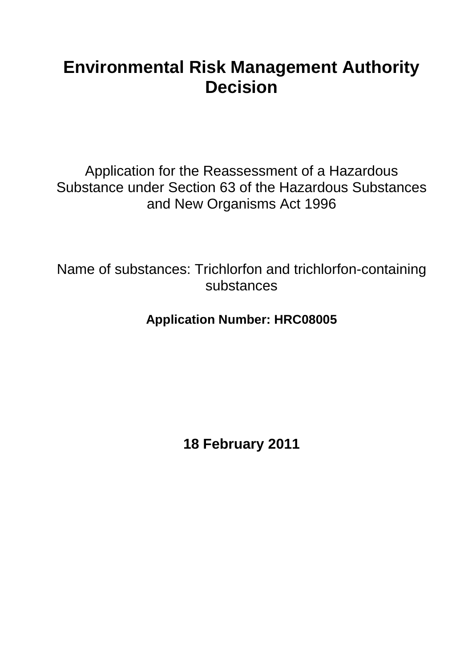# **Environmental Risk Management Authority Decision**

Application for the Reassessment of a Hazardous Substance under Section 63 of the Hazardous Substances and New Organisms Act 1996

Name of substances: Trichlorfon and trichlorfon-containing substances

**Application Number: HRC08005**

**18 February 2011**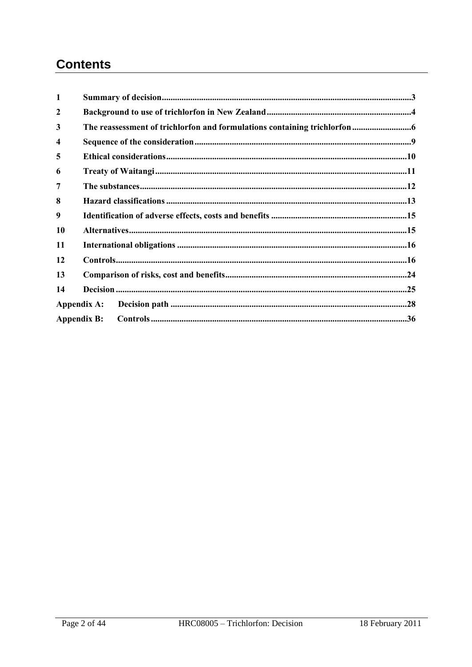# **Contents**

| 1                       |                    |  |  |  |  |  |  |
|-------------------------|--------------------|--|--|--|--|--|--|
| $\mathbf{2}$            |                    |  |  |  |  |  |  |
| 3                       |                    |  |  |  |  |  |  |
| $\overline{\mathbf{4}}$ |                    |  |  |  |  |  |  |
| 5                       |                    |  |  |  |  |  |  |
| 6                       |                    |  |  |  |  |  |  |
| 7                       |                    |  |  |  |  |  |  |
| 8                       |                    |  |  |  |  |  |  |
| 9                       |                    |  |  |  |  |  |  |
| 10                      |                    |  |  |  |  |  |  |
| 11                      |                    |  |  |  |  |  |  |
| 12                      |                    |  |  |  |  |  |  |
| 13                      |                    |  |  |  |  |  |  |
| 14                      |                    |  |  |  |  |  |  |
| Appendix A:             |                    |  |  |  |  |  |  |
|                         | <b>Appendix B:</b> |  |  |  |  |  |  |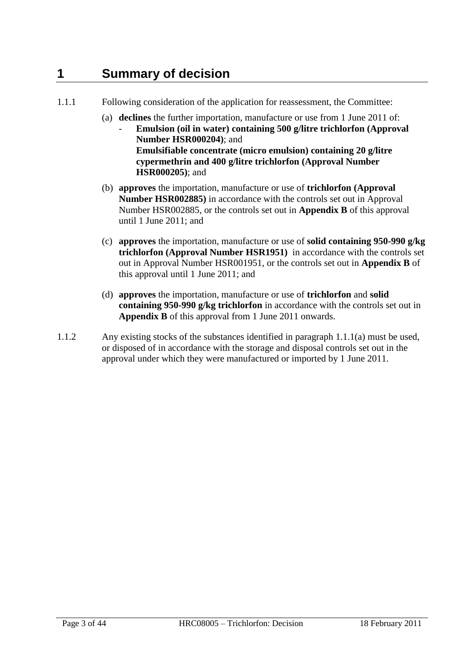# <span id="page-2-0"></span>**1 Summary of decision**

- 1.1.1 Following consideration of the application for reassessment, the Committee:
	- (a) **declines** the further importation, manufacture or use from 1 June 2011 of:
		- **Emulsion (oil in water) containing 500 g/litre trichlorfon (Approval Number HSR000204)**; and **Emulsifiable concentrate (micro emulsion) containing 20 g/litre cypermethrin and 400 g/litre trichlorfon (Approval Number HSR000205)**; and
	- (b) **approves** the importation, manufacture or use of **trichlorfon (Approval Number HSR002885)** in accordance with the controls set out in Approval Number HSR002885, or the controls set out in **Appendix B** of this approval until 1 June 2011; and
	- (c) **approves** the importation, manufacture or use of **solid containing 950-990 g/kg trichlorfon (Approval Number HSR1951)** in accordance with the controls set out in Approval Number HSR001951, or the controls set out in **Appendix B** of this approval until 1 June 2011; and
	- (d) **approves** the importation, manufacture or use of **trichlorfon** and **solid containing 950-990 g/kg trichlorfon** in accordance with the controls set out in **Appendix B** of this approval from 1 June 2011 onwards.
- 1.1.2 Any existing stocks of the substances identified in paragraph 1.1.1(a) must be used, or disposed of in accordance with the storage and disposal controls set out in the approval under which they were manufactured or imported by 1 June 2011.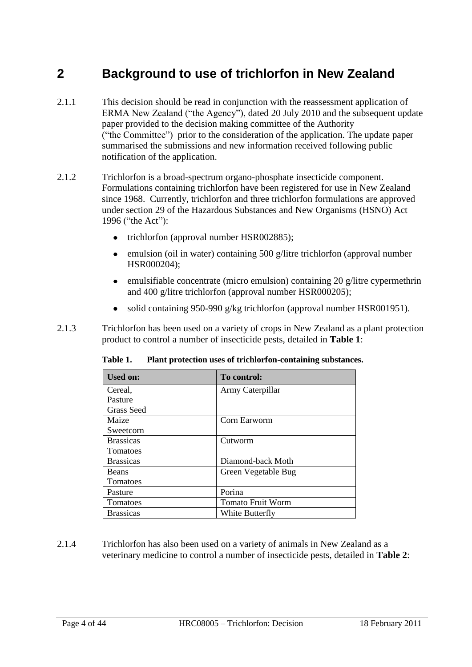# <span id="page-3-0"></span>**2 Background to use of trichlorfon in New Zealand**

- 2.1.1 This decision should be read in conjunction with the reassessment application of ERMA New Zealand ("the Agency"), dated 20 July 2010 and the subsequent update paper provided to the decision making committee of the Authority ("the Committee") prior to the consideration of the application. The update paper summarised the submissions and new information received following public notification of the application.
- 2.1.2 Trichlorfon is a broad-spectrum organo-phosphate insecticide component. Formulations containing trichlorfon have been registered for use in New Zealand since 1968. Currently, trichlorfon and three trichlorfon formulations are approved under section 29 of the Hazardous Substances and New Organisms (HSNO) Act 1996 ("the Act"):
	- trichlorfon (approval number HSR002885);  $\bullet$
	- emulsion (oil in water) containing 500 g/litre trichlorfon (approval number HSR000204);
	- emulsifiable concentrate (micro emulsion) containing 20 g/litre cypermethrin  $\bullet$ and 400 g/litre trichlorfon (approval number HSR000205);
	- solid containing 950-990 g/kg trichlorfon (approval number HSR001951).
- 2.1.3 Trichlorfon has been used on a variety of crops in New Zealand as a plant protection product to control a number of insecticide pests, detailed in **Table 1**:

| <b>Used on:</b>  | To control:              |
|------------------|--------------------------|
| Cereal,          | Army Caterpillar         |
| Pasture          |                          |
| Grass Seed       |                          |
| Maize            | Corn Earworm             |
| Sweetcorn        |                          |
| <b>Brassicas</b> | Cutworm                  |
| Tomatoes         |                          |
| <b>Brassicas</b> | Diamond-back Moth        |
| <b>Beans</b>     | Green Vegetable Bug      |
| Tomatoes         |                          |
| Pasture          | Porina                   |
| Tomatoes         | <b>Tomato Fruit Worm</b> |
| <b>Brassicas</b> | White Butterfly          |

**Table 1. Plant protection uses of trichlorfon-containing substances.**

2.1.4 Trichlorfon has also been used on a variety of animals in New Zealand as a veterinary medicine to control a number of insecticide pests, detailed in **Table 2**: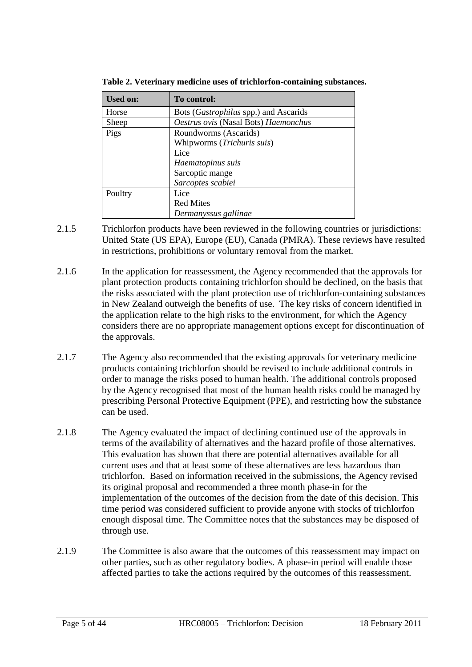| <b>Used on:</b> | To control:                           |
|-----------------|---------------------------------------|
| Horse           | Bots (Gastrophilus spp.) and Ascarids |
| Sheep           | Oestrus ovis (Nasal Bots) Haemonchus  |
| Pigs            | Roundworms (Ascarids)                 |
|                 | Whipworms (Trichuris suis)            |
|                 | Lice                                  |
|                 | Haematopinus suis                     |
|                 | Sarcoptic mange                       |
|                 | Sarcoptes scabiei                     |
| Poultry         | Lice                                  |
|                 | <b>Red Mites</b>                      |
|                 | Dermanyssus gallinae                  |

**Table 2. Veterinary medicine uses of trichlorfon-containing substances.**

- 2.1.5 Trichlorfon products have been reviewed in the following countries or jurisdictions: United State (US EPA), Europe (EU), Canada (PMRA). These reviews have resulted in restrictions, prohibitions or voluntary removal from the market.
- 2.1.6 In the application for reassessment, the Agency recommended that the approvals for plant protection products containing trichlorfon should be declined, on the basis that the risks associated with the plant protection use of trichlorfon-containing substances in New Zealand outweigh the benefits of use. The key risks of concern identified in the application relate to the high risks to the environment, for which the Agency considers there are no appropriate management options except for discontinuation of the approvals.
- 2.1.7 The Agency also recommended that the existing approvals for veterinary medicine products containing trichlorfon should be revised to include additional controls in order to manage the risks posed to human health. The additional controls proposed by the Agency recognised that most of the human health risks could be managed by prescribing Personal Protective Equipment (PPE), and restricting how the substance can be used.
- 2.1.8 The Agency evaluated the impact of declining continued use of the approvals in terms of the availability of alternatives and the hazard profile of those alternatives. This evaluation has shown that there are potential alternatives available for all current uses and that at least some of these alternatives are less hazardous than trichlorfon. Based on information received in the submissions, the Agency revised its original proposal and recommended a three month phase-in for the implementation of the outcomes of the decision from the date of this decision. This time period was considered sufficient to provide anyone with stocks of trichlorfon enough disposal time. The Committee notes that the substances may be disposed of through use.
- 2.1.9 The Committee is also aware that the outcomes of this reassessment may impact on other parties, such as other regulatory bodies. A phase-in period will enable those affected parties to take the actions required by the outcomes of this reassessment.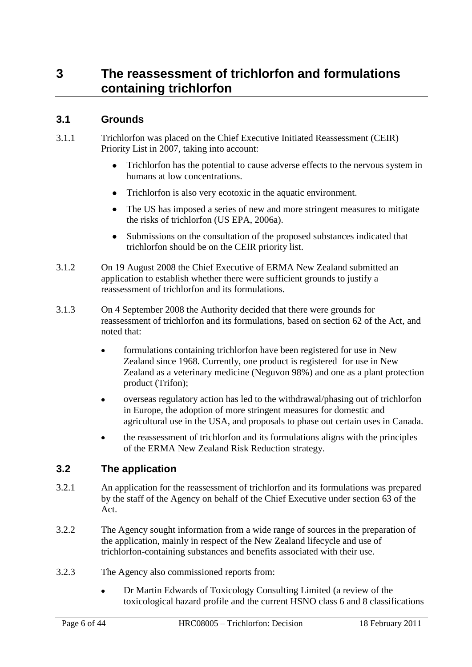# <span id="page-5-0"></span>**3 The reassessment of trichlorfon and formulations containing trichlorfon**

# **3.1 Grounds**

- 3.1.1 Trichlorfon was placed on the Chief Executive Initiated Reassessment (CEIR) Priority List in 2007, taking into account:
	- $\bullet$ Trichlorfon has the potential to cause adverse effects to the nervous system in humans at low concentrations.
	- Trichlorfon is also very ecotoxic in the aquatic environment.
	- The US has imposed a series of new and more stringent measures to mitigate  $\bullet$ the risks of trichlorfon (US EPA, 2006a).
	- Submissions on the consultation of the proposed substances indicated that  $\bullet$ trichlorfon should be on the CEIR priority list.
- 3.1.2 On 19 August 2008 the Chief Executive of ERMA New Zealand submitted an application to establish whether there were sufficient grounds to justify a reassessment of trichlorfon and its formulations.
- 3.1.3 On 4 September 2008 the Authority decided that there were grounds for reassessment of trichlorfon and its formulations, based on section 62 of the Act, and noted that:
	- formulations containing trichlorfon have been registered for use in New Zealand since 1968. Currently, one product is registered for use in New Zealand as a veterinary medicine (Neguvon 98%) and one as a plant protection product (Trifon);
	- overseas regulatory action has led to the withdrawal/phasing out of trichlorfon  $\bullet$ in Europe, the adoption of more stringent measures for domestic and agricultural use in the USA, and proposals to phase out certain uses in Canada.
	- the reassessment of trichlorfon and its formulations aligns with the principles of the ERMA New Zealand Risk Reduction strategy.

# **3.2 The application**

- 3.2.1 An application for the reassessment of trichlorfon and its formulations was prepared by the staff of the Agency on behalf of the Chief Executive under section 63 of the Act.
- 3.2.2 The Agency sought information from a wide range of sources in the preparation of the application, mainly in respect of the New Zealand lifecycle and use of trichlorfon-containing substances and benefits associated with their use.
- 3.2.3 The Agency also commissioned reports from:
	- Dr Martin Edwards of Toxicology Consulting Limited (a review of the  $\bullet$ toxicological hazard profile and the current HSNO class 6 and 8 classifications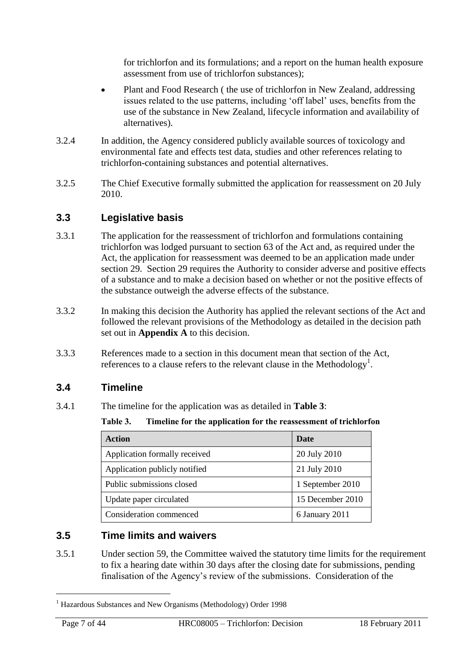for trichlorfon and its formulations; and a report on the human health exposure assessment from use of trichlorfon substances);

- Plant and Food Research ( the use of trichlorfon in New Zealand, addressing issues related to the use patterns, including 'off label' uses, benefits from the use of the substance in New Zealand, lifecycle information and availability of alternatives).
- 3.2.4 In addition, the Agency considered publicly available sources of toxicology and environmental fate and effects test data, studies and other references relating to trichlorfon-containing substances and potential alternatives.
- 3.2.5 The Chief Executive formally submitted the application for reassessment on 20 July 2010.

# **3.3 Legislative basis**

- 3.3.1 The application for the reassessment of trichlorfon and formulations containing trichlorfon was lodged pursuant to section 63 of the Act and, as required under the Act, the application for reassessment was deemed to be an application made under section 29. Section 29 requires the Authority to consider adverse and positive effects of a substance and to make a decision based on whether or not the positive effects of the substance outweigh the adverse effects of the substance.
- 3.3.2 In making this decision the Authority has applied the relevant sections of the Act and followed the relevant provisions of the Methodology as detailed in the decision path set out in **Appendix A** to this decision.
- 3.3.3 References made to a section in this document mean that section of the Act, references to a clause refers to the relevant clause in the Methodology<sup>1</sup>.

## **3.4 Timeline**

3.4.1 The timeline for the application was as detailed in **Table 3**:

**Table 3. Timeline for the application for the reassessment of trichlorfon**

| <b>Action</b>                 | Date             |
|-------------------------------|------------------|
| Application formally received | 20 July 2010     |
| Application publicly notified | 21 July 2010     |
| Public submissions closed     | 1 September 2010 |
| Update paper circulated       | 15 December 2010 |
| Consideration commenced       | 6 January 2011   |

# **3.5 Time limits and waivers**

3.5.1 Under section 59, the Committee waived the statutory time limits for the requirement to fix a hearing date within 30 days after the closing date for submissions, pending finalisation of the Agency's review of the submissions. Consideration of the

 $\overline{a}$ 

<sup>&</sup>lt;sup>1</sup> Hazardous Substances and New Organisms (Methodology) Order 1998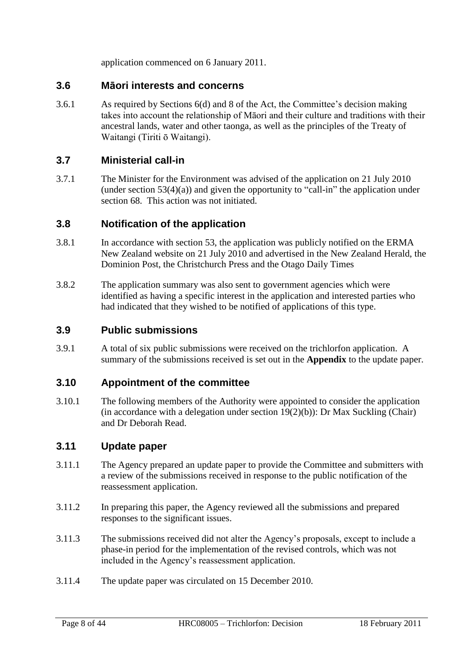application commenced on 6 January 2011.

### **3.6 Māori interests and concerns**

3.6.1 As required by Sections 6(d) and 8 of the Act, the Committee's decision making takes into account the relationship of Māori and their culture and traditions with their ancestral lands, water and other taonga, as well as the principles of the Treaty of Waitangi (Tiriti ō Waitangi).

## **3.7 Ministerial call-in**

3.7.1 The Minister for the Environment was advised of the application on 21 July 2010 (under section  $53(4)(a)$ ) and given the opportunity to "call-in" the application under section 68. This action was not initiated.

## **3.8 Notification of the application**

- 3.8.1 In accordance with section 53, the application was publicly notified on the ERMA New Zealand website on 21 July 2010 and advertised in the New Zealand Herald, the Dominion Post, the Christchurch Press and the Otago Daily Times
- 3.8.2 The application summary was also sent to government agencies which were identified as having a specific interest in the application and interested parties who had indicated that they wished to be notified of applications of this type.

## **3.9 Public submissions**

3.9.1 A total of six public submissions were received on the trichlorfon application. A summary of the submissions received is set out in the **Appendix** to the update paper.

## **3.10 Appointment of the committee**

3.10.1 The following members of the Authority were appointed to consider the application (in accordance with a delegation under section  $19(2)(b)$ ): Dr Max Suckling (Chair) and Dr Deborah Read.

## **3.11 Update paper**

- 3.11.1 The Agency prepared an update paper to provide the Committee and submitters with a review of the submissions received in response to the public notification of the reassessment application.
- 3.11.2 In preparing this paper, the Agency reviewed all the submissions and prepared responses to the significant issues.
- 3.11.3 The submissions received did not alter the Agency's proposals, except to include a phase-in period for the implementation of the revised controls, which was not included in the Agency's reassessment application.
- 3.11.4 The update paper was circulated on 15 December 2010.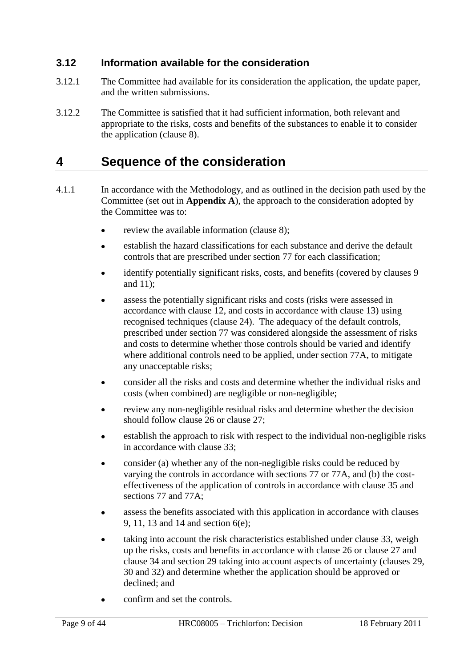# **3.12 Information available for the consideration**

- 3.12.1 The Committee had available for its consideration the application, the update paper, and the written submissions.
- 3.12.2 The Committee is satisfied that it had sufficient information, both relevant and appropriate to the risks, costs and benefits of the substances to enable it to consider the application (clause 8).

# <span id="page-8-0"></span>**4 Sequence of the consideration**

- 4.1.1 In accordance with the Methodology, and as outlined in the decision path used by the Committee (set out in **Appendix A**), the approach to the consideration adopted by the Committee was to:
	- review the available information (clause 8);
	- establish the hazard classifications for each substance and derive the default  $\bullet$ controls that are prescribed under section 77 for each classification;
	- identify potentially significant risks, costs, and benefits (covered by clauses 9  $\bullet$ and 11);
	- assess the potentially significant risks and costs (risks were assessed in accordance with clause 12, and costs in accordance with clause 13) using recognised techniques (clause 24). The adequacy of the default controls, prescribed under section 77 was considered alongside the assessment of risks and costs to determine whether those controls should be varied and identify where additional controls need to be applied, under section 77A, to mitigate any unacceptable risks;
	- consider all the risks and costs and determine whether the individual risks and costs (when combined) are negligible or non-negligible;
	- review any non-negligible residual risks and determine whether the decision should follow clause 26 or clause 27;
	- establish the approach to risk with respect to the individual non-negligible risks in accordance with clause 33;
	- consider (a) whether any of the non-negligible risks could be reduced by varying the controls in accordance with sections 77 or 77A, and (b) the costeffectiveness of the application of controls in accordance with clause 35 and sections 77 and 77A;
	- assess the benefits associated with this application in accordance with clauses 9, 11, 13 and 14 and section 6(e);
	- taking into account the risk characteristics established under clause 33, weigh  $\bullet$ up the risks, costs and benefits in accordance with clause 26 or clause 27 and clause 34 and section 29 taking into account aspects of uncertainty (clauses 29, 30 and 32) and determine whether the application should be approved or declined; and
	- confirm and set the controls.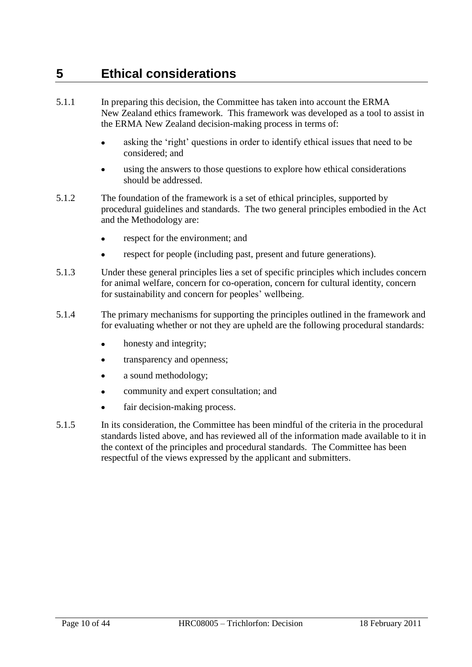# <span id="page-9-0"></span>**5 Ethical considerations**

- 5.1.1 In preparing this decision, the Committee has taken into account the ERMA New Zealand ethics framework. This framework was developed as a tool to assist in the ERMA New Zealand decision-making process in terms of:
	- asking the 'right' questions in order to identify ethical issues that need to be considered; and
	- using the answers to those questions to explore how ethical considerations should be addressed.
- 5.1.2 The foundation of the framework is a set of ethical principles, supported by procedural guidelines and standards. The two general principles embodied in the Act and the Methodology are:
	- respect for the environment; and
	- respect for people (including past, present and future generations).
- 5.1.3 Under these general principles lies a set of specific principles which includes concern for animal welfare, concern for co-operation, concern for cultural identity, concern for sustainability and concern for peoples' wellbeing.
- 5.1.4 The primary mechanisms for supporting the principles outlined in the framework and for evaluating whether or not they are upheld are the following procedural standards:
	- honesty and integrity;  $\bullet$
	- transparency and openness;
	- a sound methodology;
	- community and expert consultation; and
	- fair decision-making process.  $\bullet$
- 5.1.5 In its consideration, the Committee has been mindful of the criteria in the procedural standards listed above, and has reviewed all of the information made available to it in the context of the principles and procedural standards. The Committee has been respectful of the views expressed by the applicant and submitters.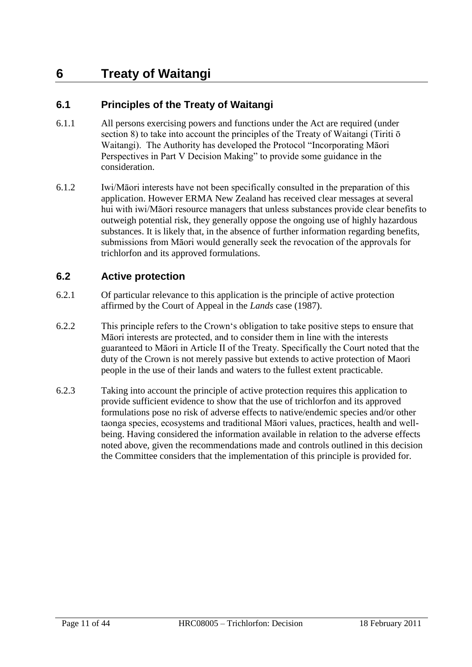# <span id="page-10-0"></span>**6 Treaty of Waitangi**

# **6.1 Principles of the Treaty of Waitangi**

- 6.1.1 All persons exercising powers and functions under the Act are required (under section 8) to take into account the principles of the Treaty of Waitangi (Tiriti ō Waitangi). The Authority has developed the Protocol "Incorporating Māori Perspectives in Part V Decision Making" to provide some guidance in the consideration.
- 6.1.2 Iwi/Māori interests have not been specifically consulted in the preparation of this application. However ERMA New Zealand has received clear messages at several hui with iwi/Māori resource managers that unless substances provide clear benefits to outweigh potential risk, they generally oppose the ongoing use of highly hazardous substances. It is likely that, in the absence of further information regarding benefits, submissions from Māori would generally seek the revocation of the approvals for trichlorfon and its approved formulations.

## **6.2 Active protection**

- 6.2.1 Of particular relevance to this application is the principle of active protection affirmed by the Court of Appeal in the *Lands* case (1987).
- 6.2.2 This principle refers to the Crown‗s obligation to take positive steps to ensure that Māori interests are protected, and to consider them in line with the interests guaranteed to Māori in Article II of the Treaty. Specifically the Court noted that the duty of the Crown is not merely passive but extends to active protection of Maori people in the use of their lands and waters to the fullest extent practicable.
- 6.2.3 Taking into account the principle of active protection requires this application to provide sufficient evidence to show that the use of trichlorfon and its approved formulations pose no risk of adverse effects to native/endemic species and/or other taonga species, ecosystems and traditional Māori values, practices, health and wellbeing. Having considered the information available in relation to the adverse effects noted above, given the recommendations made and controls outlined in this decision the Committee considers that the implementation of this principle is provided for.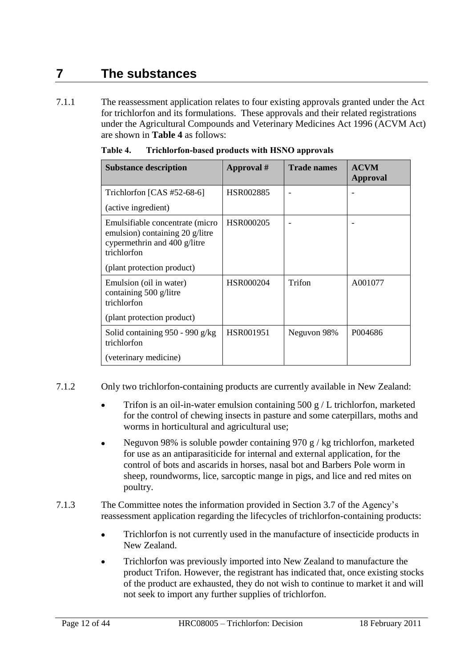# <span id="page-11-0"></span>**7 The substances**

7.1.1 The reassessment application relates to four existing approvals granted under the Act for trichlorfon and its formulations. These approvals and their related registrations under the Agricultural Compounds and Veterinary Medicines Act 1996 (ACVM Act) are shown in **Table 4** as follows:

| <b>Substance description</b>                                                                                      | Approval # | <b>Trade names</b> | <b>ACVM</b><br>Approval |
|-------------------------------------------------------------------------------------------------------------------|------------|--------------------|-------------------------|
| Trichlorfon $[CAS #52-68-6]$                                                                                      | HSR002885  |                    |                         |
| (active ingredient)                                                                                               |            |                    |                         |
| Emulsifiable concentrate (micro<br>emulsion) containing 20 g/litre<br>cypermethrin and 400 g/litre<br>trichlorfon | HSR000205  |                    |                         |
| (plant protection product)                                                                                        |            |                    |                         |
| Emulsion (oil in water)<br>containing 500 g/litre<br>trichlorfon                                                  | HSR000204  | Trifon             | A001077                 |
| (plant protection product)                                                                                        |            |                    |                         |
| Solid containing $950 - 990$ g/kg<br>trichlorfon                                                                  | HSR001951  | Neguvon 98%        | P004686                 |
| (veterinary medicine)                                                                                             |            |                    |                         |

| Table 4. | Trichlorfon-based products with HSNO approvals |  |  |
|----------|------------------------------------------------|--|--|
|          |                                                |  |  |

- 7.1.2 Only two trichlorfon-containing products are currently available in New Zealand:
	- Trifon is an oil-in-water emulsion containing  $500 \text{ g}$  / L trichlorfon, marketed for the control of chewing insects in pasture and some caterpillars, moths and worms in horticultural and agricultural use;
	- Neguvon 98% is soluble powder containing 970 g / kg trichlorfon, marketed for use as an antiparasiticide for internal and external application, for the control of bots and ascarids in horses, nasal bot and Barbers Pole worm in sheep, roundworms, lice, sarcoptic mange in pigs, and lice and red mites on poultry.
- 7.1.3 The Committee notes the information provided in Section 3.7 of the Agency's reassessment application regarding the lifecycles of trichlorfon-containing products:
	- Trichlorfon is not currently used in the manufacture of insecticide products in  $\bullet$ New Zealand.
	- Trichlorfon was previously imported into New Zealand to manufacture the product Trifon. However, the registrant has indicated that, once existing stocks of the product are exhausted, they do not wish to continue to market it and will not seek to import any further supplies of trichlorfon.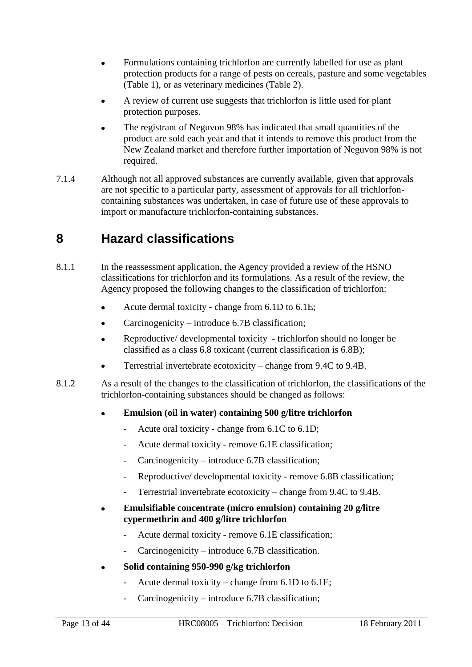- Formulations containing trichlorfon are currently labelled for use as plant  $\bullet$ protection products for a range of pests on cereals, pasture and some vegetables (Table 1), or as veterinary medicines (Table 2).
- A review of current use suggests that trichlorfon is little used for plant protection purposes.
- The registrant of Neguvon 98% has indicated that small quantities of the product are sold each year and that it intends to remove this product from the New Zealand market and therefore further importation of Neguvon 98% is not required.
- 7.1.4 Although not all approved substances are currently available, given that approvals are not specific to a particular party, assessment of approvals for all trichlorfoncontaining substances was undertaken, in case of future use of these approvals to import or manufacture trichlorfon-containing substances.

# <span id="page-12-0"></span>**8 Hazard classifications**

- 8.1.1 In the reassessment application, the Agency provided a review of the HSNO classifications for trichlorfon and its formulations. As a result of the review, the Agency proposed the following changes to the classification of trichlorfon:
	- $\bullet$ Acute dermal toxicity - change from 6.1D to 6.1E;
	- Carcinogenicity introduce 6.7B classification;
	- Reproductive/ developmental toxicity trichlorfon should no longer be classified as a class 6.8 toxicant (current classification is 6.8B);
	- Terrestrial invertebrate ecotoxicity change from 9.4C to 9.4B.
- 8.1.2 As a result of the changes to the classification of trichlorfon, the classifications of the trichlorfon-containing substances should be changed as follows:

#### **Emulsion (oil in water) containing 500 g/litre trichlorfon**  $\bullet$

- Acute oral toxicity change from 6.1C to 6.1D;
- Acute dermal toxicity remove 6.1E classification;
- Carcinogenicity introduce 6.7B classification;
- Reproductive/ developmental toxicity remove 6.8B classification;
- Terrestrial invertebrate ecotoxicity change from 9.4C to 9.4B.
- **Emulsifiable concentrate (micro emulsion) containing 20 g/litre cypermethrin and 400 g/litre trichlorfon**
	- Acute dermal toxicity remove 6.1E classification;
	- $Carcinogenicity introduce 6.7B classification.$
- **Solid containing 950-990 g/kg trichlorfon**
	- Acute dermal toxicity change from  $6.1D$  to  $6.1E$ ;
	- Carcinogenicity introduce 6.7B classification;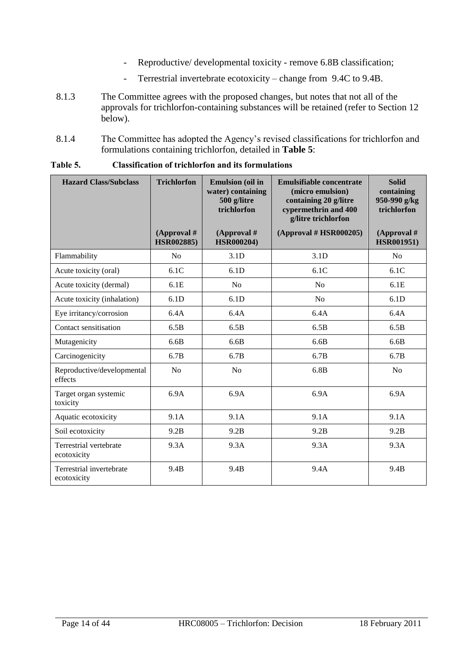- Reproductive/ developmental toxicity remove 6.8B classification;
- Terrestrial invertebrate ecotoxicity change from 9.4C to 9.4B.
- 8.1.3 The Committee agrees with the proposed changes, but notes that not all of the approvals for trichlorfon-containing substances will be retained (refer to Section 12 below).
- 8.1.4 The Committee has adopted the Agency's revised classifications for trichlorfon and formulations containing trichlorfon, detailed in **Table 5**:

| <b>Hazard Class/Subclass</b>            | <b>Trichlorfon</b>                 | <b>Emulsion</b> (oil in<br>water) containing<br>500 g/litre<br>trichlorfon | Emulsifiable concentrate<br>(micro emulsion)<br>containing 20 g/litre<br>cypermethrin and 400<br>g/litre trichlorfon | <b>Solid</b><br>containing<br>950-990 g/kg<br>trichlorfon |
|-----------------------------------------|------------------------------------|----------------------------------------------------------------------------|----------------------------------------------------------------------------------------------------------------------|-----------------------------------------------------------|
|                                         | (Approval $#$<br><b>HSR002885)</b> | (Approval $#$<br><b>HSR000204)</b>                                         | (Approval # HSR000205)                                                                                               | (Approval $#$<br><b>HSR001951)</b>                        |
| Flammability                            | N <sub>o</sub>                     | 3.1D                                                                       | 3.1D                                                                                                                 | N <sub>o</sub>                                            |
| Acute toxicity (oral)                   | 6.1C                               | 6.1D                                                                       | 6.1C                                                                                                                 | 6.1C                                                      |
| Acute toxicity (dermal)                 | 6.1E                               | No                                                                         | No                                                                                                                   | 6.1E                                                      |
| Acute toxicity (inhalation)             | 6.1D                               | 6.1D                                                                       | N <sub>o</sub>                                                                                                       | 6.1D                                                      |
| Eye irritancy/corrosion                 | 6.4A                               | 6.4A                                                                       | 6.4A                                                                                                                 | 6.4A                                                      |
| Contact sensitisation                   | 6.5B                               | 6.5B                                                                       | 6.5B                                                                                                                 | 6.5B                                                      |
| Mutagenicity                            | 6.6B                               | 6.6B                                                                       | 6.6B                                                                                                                 | 6.6B                                                      |
| Carcinogenicity                         | 6.7B                               | 6.7B                                                                       | 6.7B                                                                                                                 | 6.7B                                                      |
| Reproductive/developmental<br>effects   | No                                 | No                                                                         | 6.8B                                                                                                                 | No                                                        |
| Target organ systemic<br>toxicity       | 6.9A                               | 6.9A                                                                       | 6.9A                                                                                                                 | 6.9A                                                      |
| Aquatic ecotoxicity                     | 9.1A                               | 9.1A                                                                       | 9.1A                                                                                                                 | 9.1A                                                      |
| Soil ecotoxicity                        | 9.2B                               | 9.2B                                                                       | 9.2B                                                                                                                 | 9.2B                                                      |
| Terrestrial vertebrate<br>ecotoxicity   | 9.3A                               | 9.3A                                                                       | 9.3A                                                                                                                 | 9.3A                                                      |
| Terrestrial invertebrate<br>ecotoxicity | 9.4B                               | 9.4B                                                                       | 9.4A                                                                                                                 | 9.4B                                                      |

**Table 5. Classification of trichlorfon and its formulations**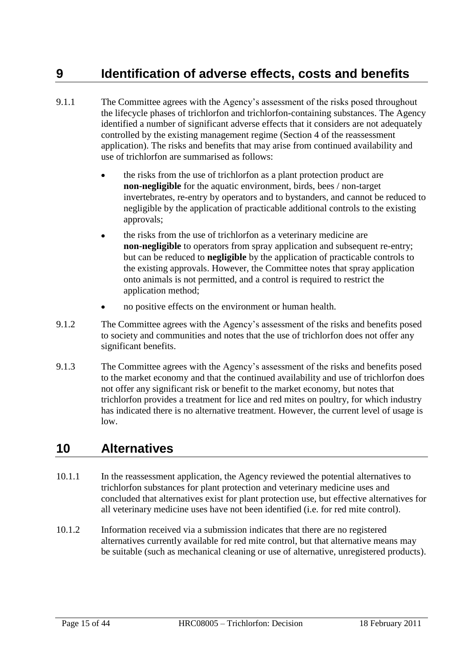# <span id="page-14-0"></span>**9 Identification of adverse effects, costs and benefits**

- 9.1.1 The Committee agrees with the Agency's assessment of the risks posed throughout the lifecycle phases of trichlorfon and trichlorfon-containing substances. The Agency identified a number of significant adverse effects that it considers are not adequately controlled by the existing management regime (Section 4 of the reassessment application). The risks and benefits that may arise from continued availability and use of trichlorfon are summarised as follows:
	- the risks from the use of trichlorfon as a plant protection product are **non-negligible** for the aquatic environment, birds, bees / non-target invertebrates, re-entry by operators and to bystanders, and cannot be reduced to negligible by the application of practicable additional controls to the existing approvals;
	- the risks from the use of trichlorfon as a veterinary medicine are **non-negligible** to operators from spray application and subsequent re-entry; but can be reduced to **negligible** by the application of practicable controls to the existing approvals. However, the Committee notes that spray application onto animals is not permitted, and a control is required to restrict the application method;
	- no positive effects on the environment or human health.
- 9.1.2 The Committee agrees with the Agency's assessment of the risks and benefits posed to society and communities and notes that the use of trichlorfon does not offer any significant benefits.
- 9.1.3 The Committee agrees with the Agency's assessment of the risks and benefits posed to the market economy and that the continued availability and use of trichlorfon does not offer any significant risk or benefit to the market economy, but notes that trichlorfon provides a treatment for lice and red mites on poultry, for which industry has indicated there is no alternative treatment. However, the current level of usage is low.

# <span id="page-14-1"></span>**10 Alternatives**

- 10.1.1 In the reassessment application, the Agency reviewed the potential alternatives to trichlorfon substances for plant protection and veterinary medicine uses and concluded that alternatives exist for plant protection use, but effective alternatives for all veterinary medicine uses have not been identified (i.e. for red mite control).
- 10.1.2 Information received via a submission indicates that there are no registered alternatives currently available for red mite control, but that alternative means may be suitable (such as mechanical cleaning or use of alternative, unregistered products).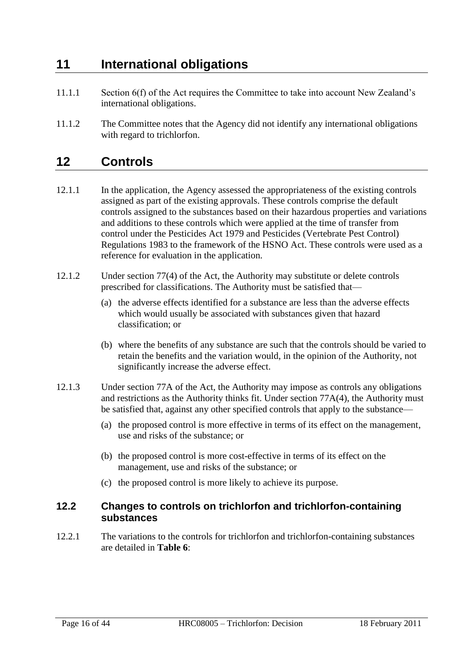# <span id="page-15-0"></span>**11 International obligations**

- 11.1.1 Section 6(f) of the Act requires the Committee to take into account New Zealand's international obligations.
- 11.1.2 The Committee notes that the Agency did not identify any international obligations with regard to trichlorfon.

# <span id="page-15-1"></span>**12 Controls**

- 12.1.1 In the application, the Agency assessed the appropriateness of the existing controls assigned as part of the existing approvals. These controls comprise the default controls assigned to the substances based on their hazardous properties and variations and additions to these controls which were applied at the time of transfer from control under the Pesticides Act 1979 and Pesticides (Vertebrate Pest Control) Regulations 1983 to the framework of the HSNO Act. These controls were used as a reference for evaluation in the application.
- 12.1.2 Under section 77(4) of the Act, the Authority may substitute or delete controls prescribed for classifications. The Authority must be satisfied that—
	- (a) the adverse effects identified for a substance are less than the adverse effects which would usually be associated with substances given that hazard classification; or
	- (b) where the benefits of any substance are such that the controls should be varied to retain the benefits and the variation would, in the opinion of the Authority, not significantly increase the adverse effect.
- 12.1.3 Under section 77A of the Act, the Authority may impose as controls any obligations and restrictions as the Authority thinks fit. Under section 77A(4), the Authority must be satisfied that, against any other specified controls that apply to the substance—
	- (a) the proposed control is more effective in terms of its effect on the management, use and risks of the substance; or
	- (b) the proposed control is more cost-effective in terms of its effect on the management, use and risks of the substance; or
	- (c) the proposed control is more likely to achieve its purpose.

# **12.2 Changes to controls on trichlorfon and trichlorfon-containing substances**

12.2.1 The variations to the controls for trichlorfon and trichlorfon-containing substances are detailed in **Table 6**: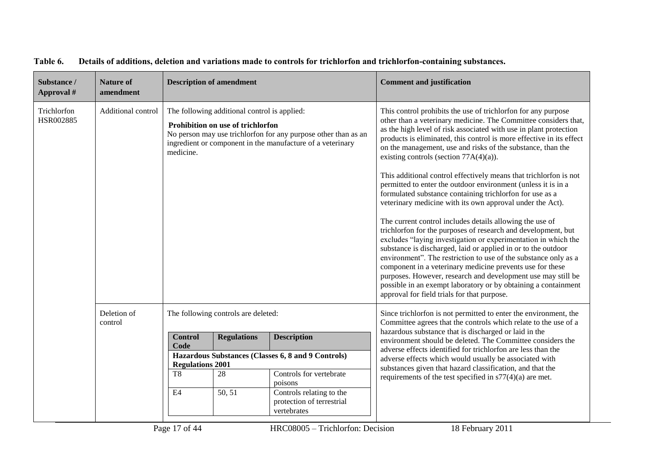| Substance /<br>Approval # | <b>Nature of</b><br>amendment |                                                                                                                                                                                                                                | <b>Description of amendment</b> |                                                                                 | <b>Comment and justification</b>                                                                                                                                                                                                                                                                                                                                                                                                                                                                                                                                                                                                                                                                                                                                                                                                                                                                                                                                                                                                                                                                                                                                                                                                          |
|---------------------------|-------------------------------|--------------------------------------------------------------------------------------------------------------------------------------------------------------------------------------------------------------------------------|---------------------------------|---------------------------------------------------------------------------------|-------------------------------------------------------------------------------------------------------------------------------------------------------------------------------------------------------------------------------------------------------------------------------------------------------------------------------------------------------------------------------------------------------------------------------------------------------------------------------------------------------------------------------------------------------------------------------------------------------------------------------------------------------------------------------------------------------------------------------------------------------------------------------------------------------------------------------------------------------------------------------------------------------------------------------------------------------------------------------------------------------------------------------------------------------------------------------------------------------------------------------------------------------------------------------------------------------------------------------------------|
| Trichlorfon<br>HSR002885  | Additional control            | The following additional control is applied:<br>Prohibition on use of trichlorfon<br>No person may use trichlorfon for any purpose other than as an<br>ingredient or component in the manufacture of a veterinary<br>medicine. |                                 |                                                                                 | This control prohibits the use of trichlorfon for any purpose<br>other than a veterinary medicine. The Committee considers that,<br>as the high level of risk associated with use in plant protection<br>products is eliminated, this control is more effective in its effect<br>on the management, use and risks of the substance, than the<br>existing controls (section $77A(4)(a)$ ).<br>This additional control effectively means that trichlorfon is not<br>permitted to enter the outdoor environment (unless it is in a<br>formulated substance containing trichlorfon for use as a<br>veterinary medicine with its own approval under the Act).<br>The current control includes details allowing the use of<br>trichlorfon for the purposes of research and development, but<br>excludes "laying investigation or experimentation in which the<br>substance is discharged, laid or applied in or to the outdoor<br>environment". The restriction to use of the substance only as a<br>component in a veterinary medicine prevents use for these<br>purposes. However, research and development use may still be<br>possible in an exempt laboratory or by obtaining a containment<br>approval for field trials for that purpose. |
|                           | Deletion of<br>control        | The following controls are deleted:                                                                                                                                                                                            |                                 |                                                                                 | Since trichlorfon is not permitted to enter the environment, the<br>Committee agrees that the controls which relate to the use of a                                                                                                                                                                                                                                                                                                                                                                                                                                                                                                                                                                                                                                                                                                                                                                                                                                                                                                                                                                                                                                                                                                       |
|                           |                               | <b>Control</b><br>Code                                                                                                                                                                                                         | <b>Regulations</b>              | <b>Description</b>                                                              | hazardous substance that is discharged or laid in the<br>environment should be deleted. The Committee considers the<br>adverse effects identified for trichlorfon are less than the                                                                                                                                                                                                                                                                                                                                                                                                                                                                                                                                                                                                                                                                                                                                                                                                                                                                                                                                                                                                                                                       |
|                           |                               | <b>Regulations 2001</b><br>T <sub>8</sub>                                                                                                                                                                                      | 28                              | Hazardous Substances (Classes 6, 8 and 9 Controls)<br>Controls for vertebrate   | adverse effects which would usually be associated with<br>substances given that hazard classification, and that the<br>requirements of the test specified in $s77(4)(a)$ are met.                                                                                                                                                                                                                                                                                                                                                                                                                                                                                                                                                                                                                                                                                                                                                                                                                                                                                                                                                                                                                                                         |
|                           |                               | E4                                                                                                                                                                                                                             | 50, 51                          | poisons<br>Controls relating to the<br>protection of terrestrial<br>vertebrates |                                                                                                                                                                                                                                                                                                                                                                                                                                                                                                                                                                                                                                                                                                                                                                                                                                                                                                                                                                                                                                                                                                                                                                                                                                           |

#### **Table 6. Details of additions, deletion and variations made to controls for trichlorfon and trichlorfon-containing substances.**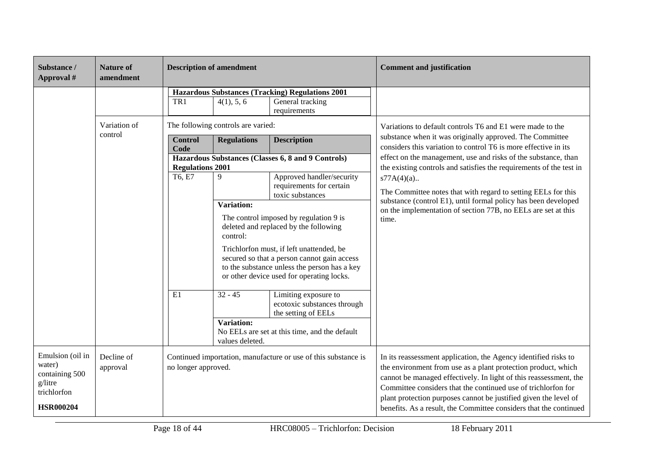| Substance /<br>Approval #                                                                  | <b>Nature of</b><br>amendment | <b>Description of amendment</b>                                                                                                                                                                                                                      |                                                                |                                                                                                                         | <b>Comment and justification</b>                                                                                                                                                                                                                                                                                                                                                                                |
|--------------------------------------------------------------------------------------------|-------------------------------|------------------------------------------------------------------------------------------------------------------------------------------------------------------------------------------------------------------------------------------------------|----------------------------------------------------------------|-------------------------------------------------------------------------------------------------------------------------|-----------------------------------------------------------------------------------------------------------------------------------------------------------------------------------------------------------------------------------------------------------------------------------------------------------------------------------------------------------------------------------------------------------------|
|                                                                                            |                               | TR1                                                                                                                                                                                                                                                  | 4(1), 5, 6                                                     | <b>Hazardous Substances (Tracking) Regulations 2001</b><br>General tracking<br>requirements                             |                                                                                                                                                                                                                                                                                                                                                                                                                 |
|                                                                                            | Variation of                  |                                                                                                                                                                                                                                                      | The following controls are varied:                             |                                                                                                                         | Variations to default controls T6 and E1 were made to the                                                                                                                                                                                                                                                                                                                                                       |
|                                                                                            | control                       | <b>Control</b><br>Code                                                                                                                                                                                                                               | <b>Regulations</b>                                             | <b>Description</b>                                                                                                      | substance when it was originally approved. The Committee<br>considers this variation to control T6 is more effective in its                                                                                                                                                                                                                                                                                     |
|                                                                                            |                               | <b>Regulations 2001</b>                                                                                                                                                                                                                              |                                                                | Hazardous Substances (Classes 6, 8 and 9 Controls)                                                                      | effect on the management, use and risks of the substance, than<br>the existing controls and satisfies the requirements of the test in                                                                                                                                                                                                                                                                           |
|                                                                                            |                               | T6, E7                                                                                                                                                                                                                                               | 9                                                              | Approved handler/security<br>requirements for certain<br>toxic substances                                               | $s77A(4)(a)$<br>The Committee notes that with regard to setting EELs for this                                                                                                                                                                                                                                                                                                                                   |
|                                                                                            |                               | Variation:<br>The control imposed by regulation 9 is<br>deleted and replaced by the following<br>control:<br>Trichlorfon must, if left unattended, be<br>secured so that a person cannot gain access<br>to the substance unless the person has a key |                                                                |                                                                                                                         | substance (control E1), until formal policy has been developed<br>on the implementation of section 77B, no EELs are set at this<br>time.                                                                                                                                                                                                                                                                        |
|                                                                                            |                               | E1                                                                                                                                                                                                                                                   | $32 - 45$<br><b>Variation:</b>                                 | or other device used for operating locks.<br>Limiting exposure to<br>ecotoxic substances through<br>the setting of EELs |                                                                                                                                                                                                                                                                                                                                                                                                                 |
|                                                                                            |                               |                                                                                                                                                                                                                                                      | values deleted.                                                | No EELs are set at this time, and the default                                                                           |                                                                                                                                                                                                                                                                                                                                                                                                                 |
| Emulsion (oil in<br>water)<br>containing 500<br>g/litre<br>trichlorfon<br><b>HSR000204</b> | Decline of<br>approval        | no longer approved.                                                                                                                                                                                                                                  | Continued importation, manufacture or use of this substance is |                                                                                                                         | In its reassessment application, the Agency identified risks to<br>the environment from use as a plant protection product, which<br>cannot be managed effectively. In light of this reassessment, the<br>Committee considers that the continued use of trichlorfon for<br>plant protection purposes cannot be justified given the level of<br>benefits. As a result, the Committee considers that the continued |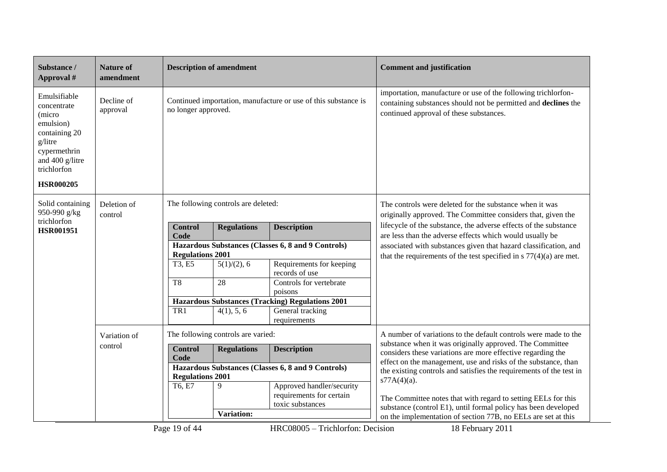| Substance /<br>Approval #                                                                                                                            | <b>Nature of</b><br>amendment                      |                                                                                       | <b>Description of amendment</b>                                               |                                                                    | <b>Comment and justification</b>                                                                                                                                                          |  |
|------------------------------------------------------------------------------------------------------------------------------------------------------|----------------------------------------------------|---------------------------------------------------------------------------------------|-------------------------------------------------------------------------------|--------------------------------------------------------------------|-------------------------------------------------------------------------------------------------------------------------------------------------------------------------------------------|--|
| Emulsifiable<br>concentrate<br>(micro<br>emulsion)<br>containing 20<br>g/litre<br>cypermethrin<br>and 400 g/litre<br>trichlorfon<br><b>HSR000205</b> | Decline of<br>approval                             | Continued importation, manufacture or use of this substance is<br>no longer approved. |                                                                               |                                                                    | importation, manufacture or use of the following trichlorfon-<br>containing substances should not be permitted and declines the<br>continued approval of these substances.                |  |
| Solid containing<br>950-990 g/kg                                                                                                                     | Deletion of<br>control                             | The following controls are deleted:                                                   |                                                                               |                                                                    | The controls were deleted for the substance when it was<br>originally approved. The Committee considers that, given the                                                                   |  |
| trichlorfon<br><b>HSR001951</b>                                                                                                                      |                                                    | <b>Control</b>                                                                        | <b>Regulations</b>                                                            | <b>Description</b>                                                 | lifecycle of the substance, the adverse effects of the substance<br>are less than the adverse effects which would usually be                                                              |  |
|                                                                                                                                                      |                                                    | Code<br>Hazardous Substances (Classes 6, 8 and 9 Controls)<br><b>Regulations 2001</b> |                                                                               |                                                                    | associated with substances given that hazard classification, and                                                                                                                          |  |
|                                                                                                                                                      |                                                    | T3, E5                                                                                | $5(1)/(2)$ , 6                                                                | Requirements for keeping<br>records of use                         | that the requirements of the test specified in $s$ 77(4)(a) are met.                                                                                                                      |  |
|                                                                                                                                                      |                                                    | $\overline{\text{T8}}$                                                                | 28                                                                            | Controls for vertebrate                                            |                                                                                                                                                                                           |  |
|                                                                                                                                                      |                                                    |                                                                                       |                                                                               | poisons<br><b>Hazardous Substances (Tracking) Regulations 2001</b> |                                                                                                                                                                                           |  |
|                                                                                                                                                      |                                                    | TR1                                                                                   | 4(1), 5, 6                                                                    | General tracking<br>requirements                                   |                                                                                                                                                                                           |  |
|                                                                                                                                                      | The following controls are varied:<br>Variation of |                                                                                       |                                                                               | A number of variations to the default controls were made to the    |                                                                                                                                                                                           |  |
|                                                                                                                                                      | control                                            | <b>Control</b><br>Code                                                                | <b>Regulations</b>                                                            | <b>Description</b>                                                 | substance when it was originally approved. The Committee<br>considers these variations are more effective regarding the<br>effect on the management, use and risks of the substance, than |  |
|                                                                                                                                                      |                                                    |                                                                                       | Hazardous Substances (Classes 6, 8 and 9 Controls)<br><b>Regulations 2001</b> |                                                                    | the existing controls and satisfies the requirements of the test in                                                                                                                       |  |
|                                                                                                                                                      |                                                    | T6, E7                                                                                | 9                                                                             | Approved handler/security                                          | $s77A(4)(a)$ .                                                                                                                                                                            |  |
|                                                                                                                                                      |                                                    |                                                                                       |                                                                               | requirements for certain<br>toxic substances                       | The Committee notes that with regard to setting EELs for this                                                                                                                             |  |
|                                                                                                                                                      |                                                    |                                                                                       | Variation:                                                                    |                                                                    | substance (control E1), until formal policy has been developed<br>on the implementation of section 77B, no EELs are set at this                                                           |  |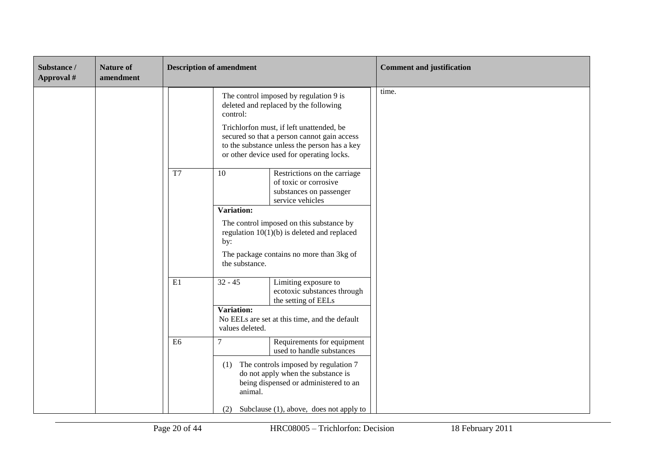| Substance /<br>Approval # | <b>Nature of</b><br>amendment | <b>Description of amendment</b> |                                                                                                                                                                                                                                                                                     |                                                                                                                     | <b>Comment and justification</b> |
|---------------------------|-------------------------------|---------------------------------|-------------------------------------------------------------------------------------------------------------------------------------------------------------------------------------------------------------------------------------------------------------------------------------|---------------------------------------------------------------------------------------------------------------------|----------------------------------|
|                           |                               |                                 | The control imposed by regulation 9 is<br>deleted and replaced by the following<br>control:<br>Trichlorfon must, if left unattended, be<br>secured so that a person cannot gain access<br>to the substance unless the person has a key<br>or other device used for operating locks. |                                                                                                                     | time.                            |
|                           |                               | T7                              | 10                                                                                                                                                                                                                                                                                  | Restrictions on the carriage<br>of toxic or corrosive<br>substances on passenger<br>service vehicles                |                                  |
|                           |                               |                                 | Variation:                                                                                                                                                                                                                                                                          |                                                                                                                     |                                  |
|                           |                               |                                 | The control imposed on this substance by<br>regulation $10(1)(b)$ is deleted and replaced<br>by:                                                                                                                                                                                    |                                                                                                                     |                                  |
|                           |                               |                                 | The package contains no more than 3kg of<br>the substance.                                                                                                                                                                                                                          |                                                                                                                     |                                  |
|                           |                               | E1                              | $32 - 45$                                                                                                                                                                                                                                                                           | Limiting exposure to<br>ecotoxic substances through<br>the setting of EELs                                          |                                  |
|                           |                               |                                 | Variation:<br>No EELs are set at this time, and the default<br>values deleted.                                                                                                                                                                                                      |                                                                                                                     |                                  |
|                           |                               | E <sub>6</sub>                  | 7                                                                                                                                                                                                                                                                                   | Requirements for equipment<br>used to handle substances                                                             |                                  |
|                           |                               |                                 | (1)<br>animal.                                                                                                                                                                                                                                                                      | The controls imposed by regulation 7<br>do not apply when the substance is<br>being dispensed or administered to an |                                  |
|                           |                               |                                 | (2)                                                                                                                                                                                                                                                                                 | Subclause $(1)$ , above, does not apply to                                                                          |                                  |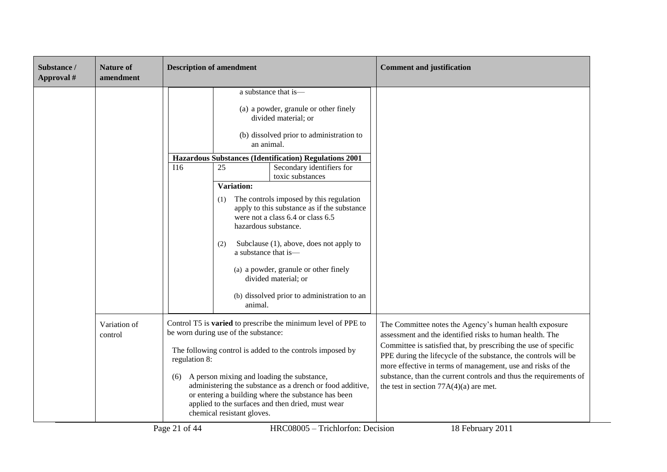| Substance /<br>Approval # | <b>Nature of</b><br>amendment | <b>Description of amendment</b> |                                                                                                                                                                                                                                                                                                                                                                                                                                                                                                                                                                                                                                                   | <b>Comment and justification</b>                                                                                                                                                                                                                                                                                                                                                                                                         |
|---------------------------|-------------------------------|---------------------------------|---------------------------------------------------------------------------------------------------------------------------------------------------------------------------------------------------------------------------------------------------------------------------------------------------------------------------------------------------------------------------------------------------------------------------------------------------------------------------------------------------------------------------------------------------------------------------------------------------------------------------------------------------|------------------------------------------------------------------------------------------------------------------------------------------------------------------------------------------------------------------------------------------------------------------------------------------------------------------------------------------------------------------------------------------------------------------------------------------|
|                           |                               | I16                             | a substance that is-<br>(a) a powder, granule or other finely<br>divided material; or<br>(b) dissolved prior to administration to<br>an animal.<br>Hazardous Substances (Identification) Regulations 2001<br>Secondary identifiers for<br>25<br>toxic substances<br>Variation:<br>The controls imposed by this regulation<br>(1)<br>apply to this substance as if the substance<br>were not a class 6.4 or class 6.5<br>hazardous substance.<br>Subclause (1), above, does not apply to<br>(2)<br>a substance that is-<br>(a) a powder, granule or other finely<br>divided material; or<br>(b) dissolved prior to administration to an<br>animal. |                                                                                                                                                                                                                                                                                                                                                                                                                                          |
|                           | Variation of<br>control       | regulation 8:<br>(6)            | Control T5 is varied to prescribe the minimum level of PPE to<br>be worn during use of the substance:<br>The following control is added to the controls imposed by<br>A person mixing and loading the substance,<br>administering the substance as a drench or food additive,<br>or entering a building where the substance has been<br>applied to the surfaces and then dried, must wear<br>chemical resistant gloves.                                                                                                                                                                                                                           | The Committee notes the Agency's human health exposure<br>assessment and the identified risks to human health. The<br>Committee is satisfied that, by prescribing the use of specific<br>PPE during the lifecycle of the substance, the controls will be<br>more effective in terms of management, use and risks of the<br>substance, than the current controls and thus the requirements of<br>the test in section $77A(4)(a)$ are met. |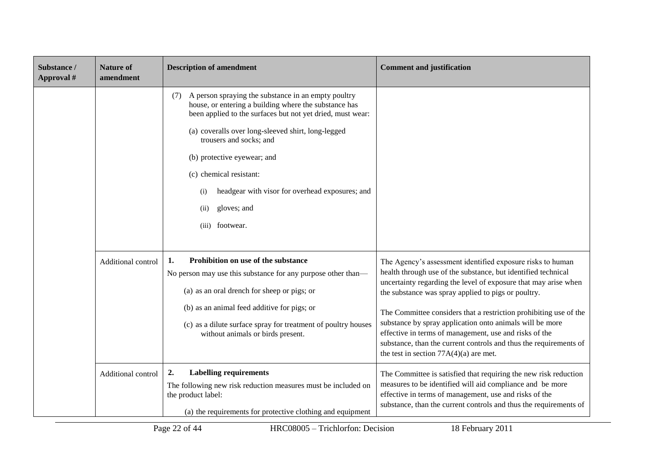| Substance /<br>Approval # | <b>Nature of</b><br>amendment | <b>Description of amendment</b>                                                                                                                                                                                                                                                                                                                                                                                                  | <b>Comment and justification</b>                                                                                                                                                                                                                                                                                                                                                                                                                                                                                                                                  |
|---------------------------|-------------------------------|----------------------------------------------------------------------------------------------------------------------------------------------------------------------------------------------------------------------------------------------------------------------------------------------------------------------------------------------------------------------------------------------------------------------------------|-------------------------------------------------------------------------------------------------------------------------------------------------------------------------------------------------------------------------------------------------------------------------------------------------------------------------------------------------------------------------------------------------------------------------------------------------------------------------------------------------------------------------------------------------------------------|
|                           |                               | A person spraying the substance in an empty poultry<br>(7)<br>house, or entering a building where the substance has<br>been applied to the surfaces but not yet dried, must wear:<br>(a) coveralls over long-sleeved shirt, long-legged<br>trousers and socks; and<br>(b) protective eyewear; and<br>(c) chemical resistant:<br>headgear with visor for overhead exposures; and<br>(i)<br>gloves; and<br>(ii)<br>(iii) footwear. |                                                                                                                                                                                                                                                                                                                                                                                                                                                                                                                                                                   |
|                           | Additional control            | Prohibition on use of the substance<br>1.<br>No person may use this substance for any purpose other than—<br>(a) as an oral drench for sheep or pigs; or<br>(b) as an animal feed additive for pigs; or<br>(c) as a dilute surface spray for treatment of poultry houses<br>without animals or birds present.                                                                                                                    | The Agency's assessment identified exposure risks to human<br>health through use of the substance, but identified technical<br>uncertainty regarding the level of exposure that may arise when<br>the substance was spray applied to pigs or poultry.<br>The Committee considers that a restriction prohibiting use of the<br>substance by spray application onto animals will be more<br>effective in terms of management, use and risks of the<br>substance, than the current controls and thus the requirements of<br>the test in section $77A(4)(a)$ are met. |
|                           | Additional control            | 2.<br><b>Labelling requirements</b><br>The following new risk reduction measures must be included on<br>the product label:<br>(a) the requirements for protective clothing and equipment                                                                                                                                                                                                                                         | The Committee is satisfied that requiring the new risk reduction<br>measures to be identified will aid compliance and be more<br>effective in terms of management, use and risks of the<br>substance, than the current controls and thus the requirements of                                                                                                                                                                                                                                                                                                      |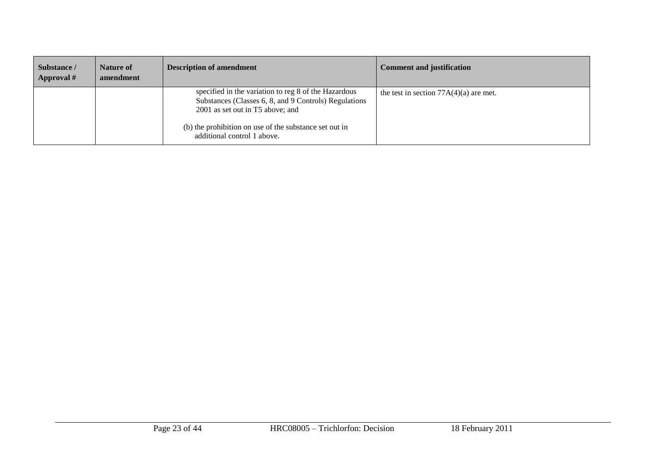| Substance /<br>Approval # | Nature of<br>amendment | <b>Description of amendment</b>                                                                                                                   | <b>Comment and justification</b>         |
|---------------------------|------------------------|---------------------------------------------------------------------------------------------------------------------------------------------------|------------------------------------------|
|                           |                        | specified in the variation to reg 8 of the Hazardous<br>Substances (Classes 6, 8, and 9 Controls) Regulations<br>2001 as set out in T5 above; and | the test in section $77A(4)(a)$ are met. |
|                           |                        | (b) the prohibition on use of the substance set out in<br>additional control 1 above.                                                             |                                          |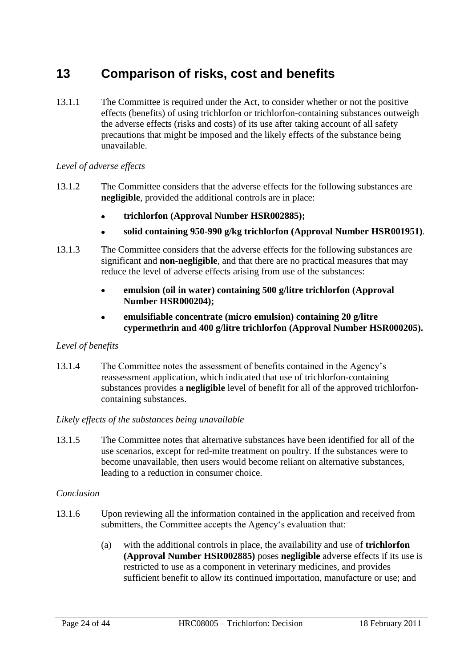# <span id="page-23-0"></span>**13 Comparison of risks, cost and benefits**

13.1.1 The Committee is required under the Act, to consider whether or not the positive effects (benefits) of using trichlorfon or trichlorfon-containing substances outweigh the adverse effects (risks and costs) of its use after taking account of all safety precautions that might be imposed and the likely effects of the substance being unavailable.

### *Level of adverse effects*

- 13.1.2 The Committee considers that the adverse effects for the following substances are **negligible**, provided the additional controls are in place:
	- **trichlorfon (Approval Number HSR002885);**
	- **solid containing 950-990 g/kg trichlorfon (Approval Number HSR001951)**.
- 13.1.3 The Committee considers that the adverse effects for the following substances are significant and **non-negligible**, and that there are no practical measures that may reduce the level of adverse effects arising from use of the substances:
	- **emulsion (oil in water) containing 500 g/litre trichlorfon (Approval**   $\bullet$ **Number HSR000204);**
	- **emulsifiable concentrate (micro emulsion) containing 20 g/litre cypermethrin and 400 g/litre trichlorfon (Approval Number HSR000205).**

## *Level of benefits*

13.1.4 The Committee notes the assessment of benefits contained in the Agency's reassessment application, which indicated that use of trichlorfon-containing substances provides a **negligible** level of benefit for all of the approved trichlorfoncontaining substances.

### *Likely effects of the substances being unavailable*

13.1.5 The Committee notes that alternative substances have been identified for all of the use scenarios, except for red-mite treatment on poultry. If the substances were to become unavailable, then users would become reliant on alternative substances, leading to a reduction in consumer choice.

### *Conclusion*

- 13.1.6 Upon reviewing all the information contained in the application and received from submitters, the Committee accepts the Agency's evaluation that:
	- (a) with the additional controls in place, the availability and use of **trichlorfon (Approval Number HSR002885)** poses **negligible** adverse effects if its use is restricted to use as a component in veterinary medicines, and provides sufficient benefit to allow its continued importation, manufacture or use; and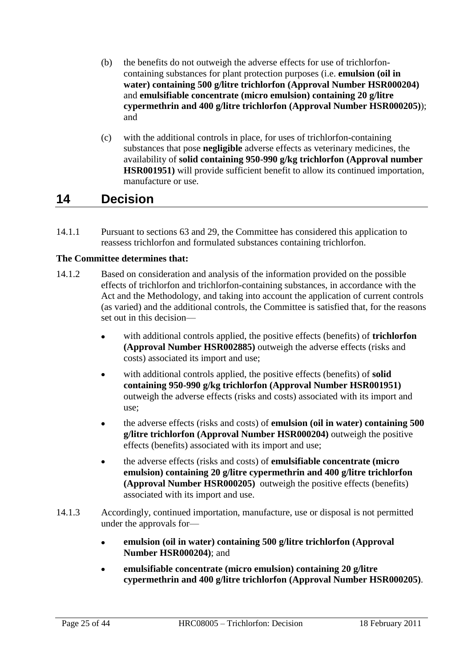- (b) the benefits do not outweigh the adverse effects for use of trichlorfoncontaining substances for plant protection purposes (i.e. **emulsion (oil in water) containing 500 g/litre trichlorfon (Approval Number HSR000204)** and **emulsifiable concentrate (micro emulsion) containing 20 g/litre cypermethrin and 400 g/litre trichlorfon (Approval Number HSR000205)**); and
- (c) with the additional controls in place, for uses of trichlorfon-containing substances that pose **negligible** adverse effects as veterinary medicines, the availability of **solid containing 950-990 g/kg trichlorfon (Approval number HSR001951)** will provide sufficient benefit to allow its continued importation, manufacture or use.

# <span id="page-24-0"></span>**14 Decision**

14.1.1 Pursuant to sections 63 and 29, the Committee has considered this application to reassess trichlorfon and formulated substances containing trichlorfon.

## **The Committee determines that:**

- 14.1.2 Based on consideration and analysis of the information provided on the possible effects of trichlorfon and trichlorfon-containing substances, in accordance with the Act and the Methodology, and taking into account the application of current controls (as varied) and the additional controls, the Committee is satisfied that, for the reasons set out in this decision
	- with additional controls applied, the positive effects (benefits) of **trichlorfon (Approval Number HSR002885)** outweigh the adverse effects (risks and costs) associated its import and use;
	- with additional controls applied, the positive effects (benefits) of **solid containing 950-990 g/kg trichlorfon (Approval Number HSR001951)** outweigh the adverse effects (risks and costs) associated with its import and use;
	- the adverse effects (risks and costs) of **emulsion (oil in water) containing 500**   $\bullet$ **g/litre trichlorfon (Approval Number HSR000204)** outweigh the positive effects (benefits) associated with its import and use;
	- the adverse effects (risks and costs) of **emulsifiable concentrate (micro**   $\bullet$ **emulsion) containing 20 g/litre cypermethrin and 400 g/litre trichlorfon (Approval Number HSR000205)** outweigh the positive effects (benefits) associated with its import and use.
- 14.1.3 Accordingly, continued importation, manufacture, use or disposal is not permitted under the approvals for
	- **emulsion (oil in water) containing 500 g/litre trichlorfon (Approval**   $\bullet$ **Number HSR000204)**; and
	- **emulsifiable concentrate (micro emulsion) containing 20 g/litre**   $\bullet$ **cypermethrin and 400 g/litre trichlorfon (Approval Number HSR000205)**.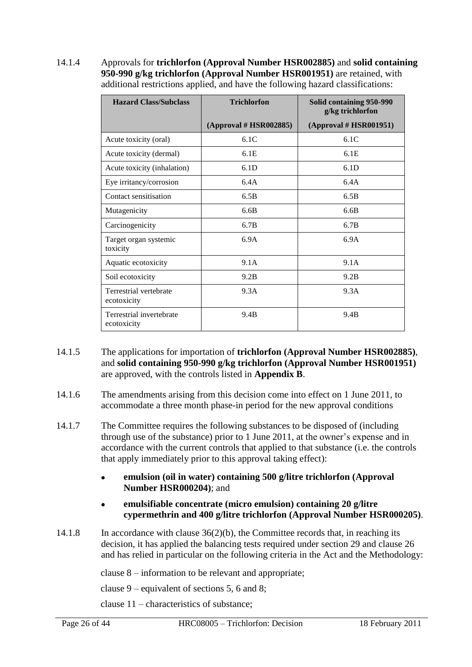14.1.4 Approvals for **trichlorfon (Approval Number HSR002885)** and **solid containing 950-990 g/kg trichlorfon (Approval Number HSR001951)** are retained, with additional restrictions applied, and have the following hazard classifications:

| <b>Hazard Class/Subclass</b>            | <b>Trichlorfon</b>     | Solid containing 950-990<br>g/kg trichlorfon |
|-----------------------------------------|------------------------|----------------------------------------------|
|                                         | (Approval # HSR002885) | (Approval # HSR001951)                       |
| Acute toxicity (oral)                   | 6.1C                   | 6.1C                                         |
| Acute toxicity (dermal)                 | 6.1E                   | 6.1E                                         |
| Acute toxicity (inhalation)             | 6.1D                   | 6.1D                                         |
| Eye irritancy/corrosion                 | 6.4A                   | 6.4A                                         |
| Contact sensitisation                   | 6.5B                   | 6.5B                                         |
| Mutagenicity                            | 6.6B                   | 6.6B                                         |
| Carcinogenicity                         | 6.7B                   | 6.7B                                         |
| Target organ systemic<br>toxicity       | 6.9A                   | 6.9A                                         |
| Aquatic ecotoxicity                     | 9.1A                   | 9.1A                                         |
| Soil ecotoxicity                        | 9.2B                   | 9.2B                                         |
| Terrestrial vertebrate<br>ecotoxicity   | 9.3A                   | 9.3A                                         |
| Terrestrial invertebrate<br>ecotoxicity | 9.4B                   | 9.4B                                         |

- 14.1.5 The applications for importation of **trichlorfon (Approval Number HSR002885)**, and **solid containing 950-990 g/kg trichlorfon (Approval Number HSR001951)** are approved, with the controls listed in **Appendix B**.
- 14.1.6 The amendments arising from this decision come into effect on 1 June 2011, to accommodate a three month phase-in period for the new approval conditions
- 14.1.7 The Committee requires the following substances to be disposed of (including through use of the substance) prior to 1 June 2011, at the owner's expense and in accordance with the current controls that applied to that substance (i.e. the controls that apply immediately prior to this approval taking effect):
	- **emulsion (oil in water) containing 500 g/litre trichlorfon (Approval**   $\bullet$ **Number HSR000204)**; and
	- **emulsifiable concentrate (micro emulsion) containing 20 g/litre cypermethrin and 400 g/litre trichlorfon (Approval Number HSR000205)**.
- 14.1.8 In accordance with clause 36(2)(b), the Committee records that, in reaching its decision, it has applied the balancing tests required under section 29 and clause 26 and has relied in particular on the following criteria in the Act and the Methodology:

clause 8 – information to be relevant and appropriate;

clause 9 – equivalent of sections 5, 6 and 8;

clause 11 – characteristics of substance;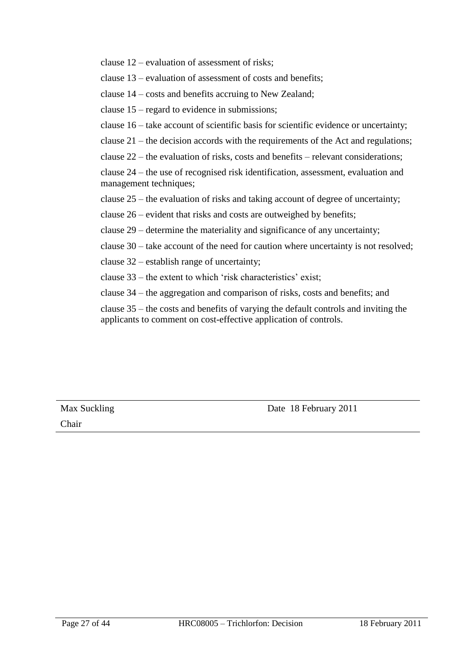clause 12 – evaluation of assessment of risks;

clause 13 – evaluation of assessment of costs and benefits;

clause 14 – costs and benefits accruing to New Zealand;

clause 15 – regard to evidence in submissions;

clause 16 – take account of scientific basis for scientific evidence or uncertainty;

clause 21 – the decision accords with the requirements of the Act and regulations;

clause 22 – the evaluation of risks, costs and benefits – relevant considerations;

clause 24 – the use of recognised risk identification, assessment, evaluation and management techniques;

clause 25 – the evaluation of risks and taking account of degree of uncertainty;

clause 26 – evident that risks and costs are outweighed by benefits;

clause 29 – determine the materiality and significance of any uncertainty;

clause 30 – take account of the need for caution where uncertainty is not resolved;

clause 32 – establish range of uncertainty;

clause  $33$  – the extent to which 'risk characteristics' exist;

clause 34 – the aggregation and comparison of risks, costs and benefits; and

clause 35 – the costs and benefits of varying the default controls and inviting the applicants to comment on cost-effective application of controls.

Chair

Max Suckling Date 18 February 2011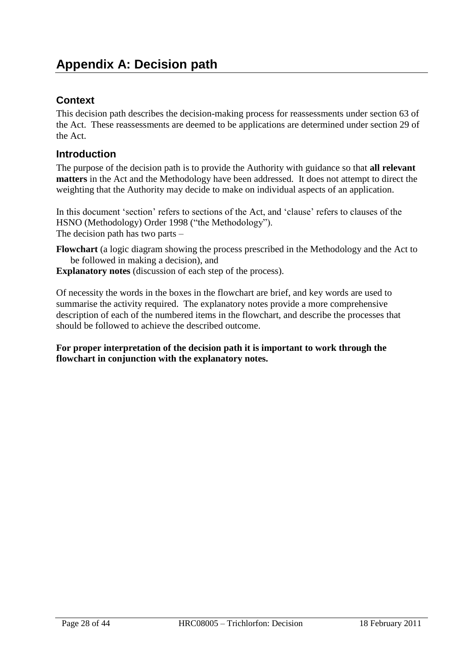# <span id="page-27-0"></span>**Context**

This decision path describes the decision-making process for reassessments under section 63 of the Act. These reassessments are deemed to be applications are determined under section 29 of the Act.

# **Introduction**

The purpose of the decision path is to provide the Authority with guidance so that **all relevant matters** in the Act and the Methodology have been addressed. It does not attempt to direct the weighting that the Authority may decide to make on individual aspects of an application.

In this document 'section' refers to sections of the Act, and 'clause' refers to clauses of the HSNO (Methodology) Order 1998 ("the Methodology"). The decision path has two parts –

**Flowchart** (a logic diagram showing the process prescribed in the Methodology and the Act to be followed in making a decision), and

**Explanatory notes** (discussion of each step of the process).

Of necessity the words in the boxes in the flowchart are brief, and key words are used to summarise the activity required. The explanatory notes provide a more comprehensive description of each of the numbered items in the flowchart, and describe the processes that should be followed to achieve the described outcome.

**For proper interpretation of the decision path it is important to work through the flowchart in conjunction with the explanatory notes.**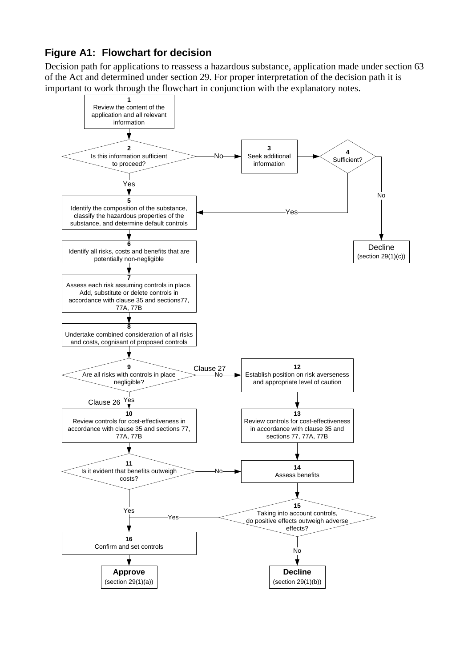# **Figure A1: Flowchart for decision**

Decision path for applications to reassess a hazardous substance, application made under section 63 of the Act and determined under section 29. For proper interpretation of the decision path it is important to work through the flowchart in conjunction with the explanatory notes.

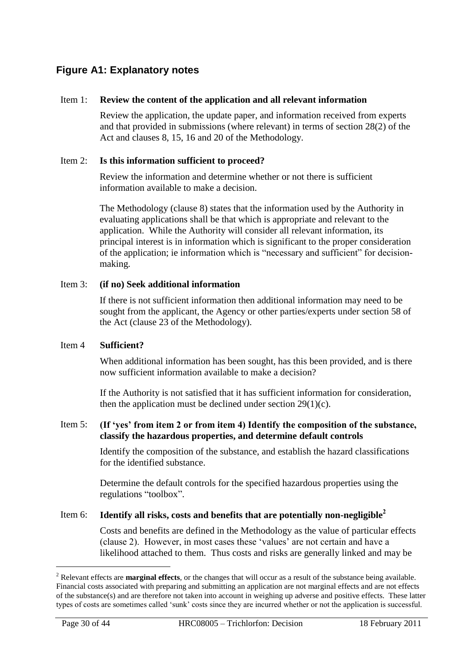# **Figure A1: Explanatory notes**

#### Item 1: **Review the content of the application and all relevant information**

Review the application, the update paper, and information received from experts and that provided in submissions (where relevant) in terms of section 28(2) of the Act and clauses 8, 15, 16 and 20 of the Methodology.

#### Item 2: **Is this information sufficient to proceed?**

Review the information and determine whether or not there is sufficient information available to make a decision.

The Methodology (clause 8) states that the information used by the Authority in evaluating applications shall be that which is appropriate and relevant to the application. While the Authority will consider all relevant information, its principal interest is in information which is significant to the proper consideration of the application; ie information which is "necessary and sufficient" for decisionmaking.

#### Item 3: **(if no) Seek additional information**

If there is not sufficient information then additional information may need to be sought from the applicant, the Agency or other parties/experts under section 58 of the Act (clause 23 of the Methodology).

### Item 4 **Sufficient?**

When additional information has been sought, has this been provided, and is there now sufficient information available to make a decision?

If the Authority is not satisfied that it has sufficient information for consideration, then the application must be declined under section  $29(1)(c)$ .

### Item 5: **(If 'yes' from item 2 or from item 4) Identify the composition of the substance, classify the hazardous properties, and determine default controls**

Identify the composition of the substance, and establish the hazard classifications for the identified substance.

Determine the default controls for the specified hazardous properties using the regulations "toolbox".

### Item 6: **Identify all risks, costs and benefits that are potentially non-negligible<sup>2</sup>**

Costs and benefits are defined in the Methodology as the value of particular effects (clause 2). However, in most cases these ‗values' are not certain and have a likelihood attached to them. Thus costs and risks are generally linked and may be

 $\overline{a}$ 

<sup>2</sup> Relevant effects are **marginal effects**, or the changes that will occur as a result of the substance being available. Financial costs associated with preparing and submitting an application are not marginal effects and are not effects of the substance(s) and are therefore not taken into account in weighing up adverse and positive effects. These latter types of costs are sometimes called 'sunk' costs since they are incurred whether or not the application is successful.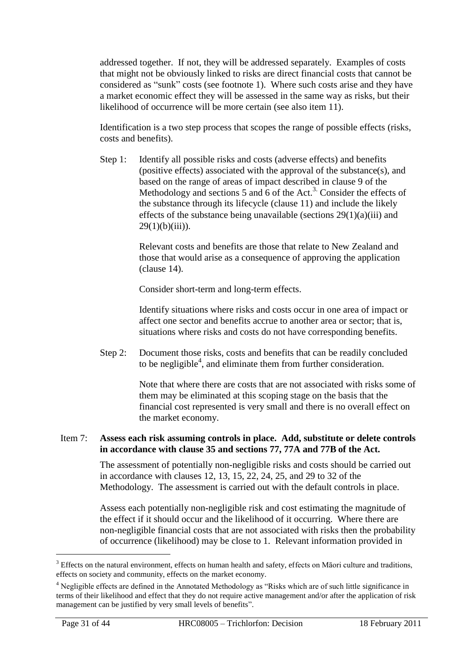addressed together. If not, they will be addressed separately. Examples of costs that might not be obviously linked to risks are direct financial costs that cannot be considered as "sunk" costs (see footnote 1). Where such costs arise and they have a market economic effect they will be assessed in the same way as risks, but their likelihood of occurrence will be more certain (see also item 11).

Identification is a two step process that scopes the range of possible effects (risks, costs and benefits).

Step 1: Identify all possible risks and costs (adverse effects) and benefits (positive effects) associated with the approval of the substance(s), and based on the range of areas of impact described in clause 9 of the Methodology and sections  $5$  and  $6$  of the Act.<sup>3.</sup> Consider the effects of the substance through its lifecycle (clause 11) and include the likely effects of the substance being unavailable (sections  $29(1)(a)(iii)$  and  $29(1)(b)(iii)$ ).

> Relevant costs and benefits are those that relate to New Zealand and those that would arise as a consequence of approving the application (clause 14).

Consider short-term and long-term effects.

Identify situations where risks and costs occur in one area of impact or affect one sector and benefits accrue to another area or sector; that is, situations where risks and costs do not have corresponding benefits.

Step 2: Document those risks, costs and benefits that can be readily concluded to be negligible<sup>4</sup>, and eliminate them from further consideration.

> Note that where there are costs that are not associated with risks some of them may be eliminated at this scoping stage on the basis that the financial cost represented is very small and there is no overall effect on the market economy.

#### Item 7: **Assess each risk assuming controls in place. Add, substitute or delete controls in accordance with clause 35 and sections 77, 77A and 77B of the Act.**

The assessment of potentially non-negligible risks and costs should be carried out in accordance with clauses 12, 13, 15, 22, 24, 25, and 29 to 32 of the Methodology. The assessment is carried out with the default controls in place.

Assess each potentially non-negligible risk and cost estimating the magnitude of the effect if it should occur and the likelihood of it occurring. Where there are non-negligible financial costs that are not associated with risks then the probability of occurrence (likelihood) may be close to 1. Relevant information provided in

<sup>&</sup>lt;sup>3</sup> Effects on the natural environment, effects on human health and safety, effects on Māori culture and traditions, effects on society and community, effects on the market economy.

<sup>&</sup>lt;sup>4</sup> Negligible effects are defined in the Annotated Methodology as "Risks which are of such little significance in terms of their likelihood and effect that they do not require active management and/or after the application of risk management can be justified by very small levels of benefits".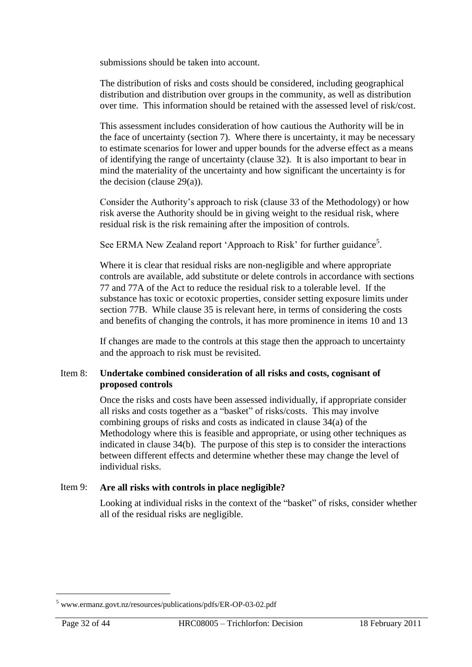submissions should be taken into account.

The distribution of risks and costs should be considered, including geographical distribution and distribution over groups in the community, as well as distribution over time. This information should be retained with the assessed level of risk/cost.

This assessment includes consideration of how cautious the Authority will be in the face of uncertainty (section 7). Where there is uncertainty, it may be necessary to estimate scenarios for lower and upper bounds for the adverse effect as a means of identifying the range of uncertainty (clause 32). It is also important to bear in mind the materiality of the uncertainty and how significant the uncertainty is for the decision (clause  $29(a)$ ).

Consider the Authority's approach to risk (clause 33 of the Methodology) or how risk averse the Authority should be in giving weight to the residual risk, where residual risk is the risk remaining after the imposition of controls.

See ERMA New Zealand report 'Approach to Risk' for further guidance<sup>5</sup>.

Where it is clear that residual risks are non-negligible and where appropriate controls are available, add substitute or delete controls in accordance with sections 77 and 77A of the Act to reduce the residual risk to a tolerable level. If the substance has toxic or ecotoxic properties, consider setting exposure limits under section 77B. While clause 35 is relevant here, in terms of considering the costs and benefits of changing the controls, it has more prominence in items 10 and 13

If changes are made to the controls at this stage then the approach to uncertainty and the approach to risk must be revisited.

### Item 8: **Undertake combined consideration of all risks and costs, cognisant of proposed controls**

Once the risks and costs have been assessed individually, if appropriate consider all risks and costs together as a "basket" of risks/costs. This may involve combining groups of risks and costs as indicated in clause 34(a) of the Methodology where this is feasible and appropriate, or using other techniques as indicated in clause 34(b). The purpose of this step is to consider the interactions between different effects and determine whether these may change the level of individual risks.

### Item 9: **Are all risks with controls in place negligible?**

Looking at individual risks in the context of the "basket" of risks, consider whether all of the residual risks are negligible.

 $\overline{a}$ 

<sup>5</sup> [www.ermanz.govt.nz/resources/publications/pdfs/ER-OP-03-02.pdf](file:///C:/Documents%20and%20Settings/smiths/Users/Heather/AppData/Roaming/Microsoft/Word/www.ermanz.govt.nz/resources/publications/pdfs/ER-OP-03-02.pdf)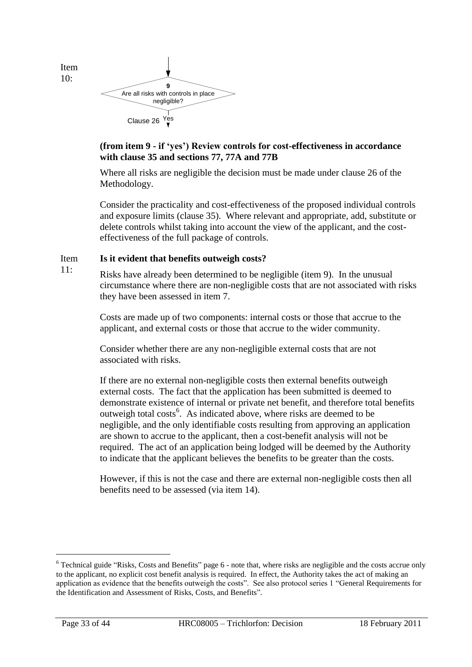Item 10:

11:



## **(from item 9 - if 'yes') Review controls for cost-effectiveness in accordance with clause 35 and sections 77, 77A and 77B**

Where all risks are negligible the decision must be made under clause 26 of the Methodology.

Consider the practicality and cost-effectiveness of the proposed individual controls and exposure limits (clause 35). Where relevant and appropriate, add, substitute or delete controls whilst taking into account the view of the applicant, and the costeffectiveness of the full package of controls.

#### Item **Is it evident that benefits outweigh costs?**

Risks have already been determined to be negligible (item 9). In the unusual circumstance where there are non-negligible costs that are not associated with risks they have been assessed in item 7.

Costs are made up of two components: internal costs or those that accrue to the applicant, and external costs or those that accrue to the wider community.

Consider whether there are any non-negligible external costs that are not associated with risks.

If there are no external non-negligible costs then external benefits outweigh external costs. The fact that the application has been submitted is deemed to demonstrate existence of internal or private net benefit, and therefore total benefits outweigh total costs<sup>6</sup>. As indicated above, where risks are deemed to be negligible, and the only identifiable costs resulting from approving an application are shown to accrue to the applicant, then a cost-benefit analysis will not be required. The act of an application being lodged will be deemed by the Authority to indicate that the applicant believes the benefits to be greater than the costs.

However, if this is not the case and there are external non-negligible costs then all benefits need to be assessed (via item 14).

 $6$  Technical guide "Risks, Costs and Benefits" page  $6$  - note that, where risks are negligible and the costs accrue only to the applicant, no explicit cost benefit analysis is required. In effect, the Authority takes the act of making an application as evidence that the benefits outweigh the costs". See also protocol series 1 "General Requirements for the Identification and Assessment of Risks, Costs, and Benefits".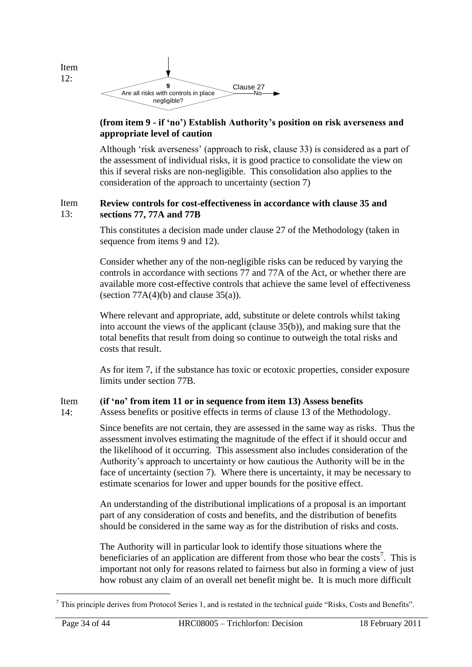

12:

#### **(from item 9 - if 'no') Establish Authority's position on risk averseness and appropriate level of caution**

Although 'risk averseness' (approach to risk, clause 33) is considered as a part of the assessment of individual risks, it is good practice to consolidate the view on this if several risks are non-negligible. This consolidation also applies to the consideration of the approach to uncertainty (section 7)

#### Item 13: **Review controls for cost-effectiveness in accordance with clause 35 and sections 77, 77A and 77B**

This constitutes a decision made under clause 27 of the Methodology (taken in sequence from items 9 and 12).

Consider whether any of the non-negligible risks can be reduced by varying the controls in accordance with sections 77 and 77A of the Act, or whether there are available more cost-effective controls that achieve the same level of effectiveness (section  $77A(4)(b)$  and clause  $35(a)$ ).

Where relevant and appropriate, add, substitute or delete controls whilst taking into account the views of the applicant (clause 35(b)), and making sure that the total benefits that result from doing so continue to outweigh the total risks and costs that result.

As for item 7, if the substance has toxic or ecotoxic properties, consider exposure limits under section 77B.

#### Item **(if 'no' from item 11 or in sequence from item 13) Assess benefits**

 $14:$ Assess benefits or positive effects in terms of clause 13 of the Methodology.

> Since benefits are not certain, they are assessed in the same way as risks. Thus the assessment involves estimating the magnitude of the effect if it should occur and the likelihood of it occurring. This assessment also includes consideration of the Authority's approach to uncertainty or how cautious the Authority will be in the face of uncertainty (section 7). Where there is uncertainty, it may be necessary to estimate scenarios for lower and upper bounds for the positive effect.

An understanding of the distributional implications of a proposal is an important part of any consideration of costs and benefits, and the distribution of benefits should be considered in the same way as for the distribution of risks and costs.

The Authority will in particular look to identify those situations where the beneficiaries of an application are different from those who bear the costs<sup>7</sup>. This is important not only for reasons related to fairness but also in forming a view of just how robust any claim of an overall net benefit might be. It is much more difficult

 $\overline{a}$ 

 $<sup>7</sup>$  This principle derives from Protocol Series 1, and is restated in the technical guide "Risks, Costs and Benefits".</sup>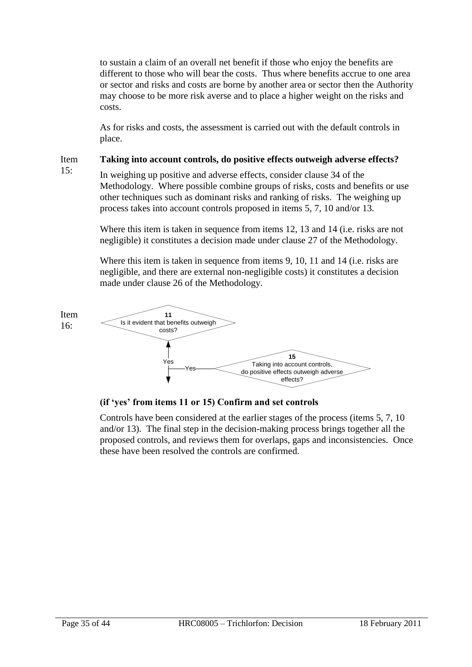to sustain a claim of an overall net benefit if those who enjoy the benefits are different to those who will bear the costs. Thus where benefits accrue to one area or sector and risks and costs are borne by another area or sector then the Authority may choose to be more risk averse and to place a higher weight on the risks and costs.

As for risks and costs, the assessment is carried out with the default controls in place.

Item **Taking into account controls, do positive effects outweigh adverse effects?**

15:

In weighing up positive and adverse effects, consider clause 34 of the Methodology. Where possible combine groups of risks, costs and benefits or use other techniques such as dominant risks and ranking of risks. The weighing up process takes into account controls proposed in items 5, 7, 10 and/or 13.

Where this item is taken in sequence from items 12, 13 and 14 (i.e. risks are not negligible) it constitutes a decision made under clause 27 of the Methodology.

Where this item is taken in sequence from items 9, 10, 11 and 14 (i.e. risks are negligible, and there are external non-negligible costs) it constitutes a decision made under clause 26 of the Methodology.



**(if 'yes' from items 11 or 15) Confirm and set controls**

Controls have been considered at the earlier stages of the process (items 5, 7, 10 and/or 13). The final step in the decision-making process brings together all the proposed controls, and reviews them for overlaps, gaps and inconsistencies. Once these have been resolved the controls are confirmed.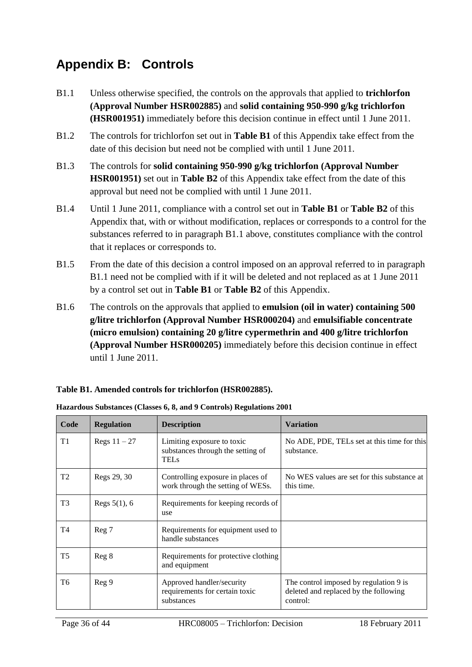# <span id="page-35-0"></span>**Appendix B: Controls**

- B1.1 Unless otherwise specified, the controls on the approvals that applied to **trichlorfon (Approval Number HSR002885)** and **solid containing 950-990 g/kg trichlorfon (HSR001951)** immediately before this decision continue in effect until 1 June 2011.
- B1.2 The controls for trichlorfon set out in **Table B1** of this Appendix take effect from the date of this decision but need not be complied with until 1 June 2011.
- B1.3 The controls for **solid containing 950-990 g/kg trichlorfon (Approval Number HSR001951)** set out in **Table B2** of this Appendix take effect from the date of this approval but need not be complied with until 1 June 2011.
- B1.4 Until 1 June 2011, compliance with a control set out in **Table B1** or **Table B2** of this Appendix that, with or without modification, replaces or corresponds to a control for the substances referred to in paragraph B1.1 above, constitutes compliance with the control that it replaces or corresponds to.
- B1.5 From the date of this decision a control imposed on an approval referred to in paragraph B1.1 need not be complied with if it will be deleted and not replaced as at 1 June 2011 by a control set out in **Table B1** or **Table B2** of this Appendix.
- B1.6 The controls on the approvals that applied to **emulsion (oil in water) containing 500 g/litre trichlorfon (Approval Number HSR000204)** and **emulsifiable concentrate (micro emulsion) containing 20 g/litre cypermethrin and 400 g/litre trichlorfon (Approval Number HSR000205)** immediately before this decision continue in effect until 1 June 2011.

### **Table B1. Amended controls for trichlorfon (HSR002885).**

| Code           | <b>Regulation</b> | <b>Description</b>                                                             | <b>Variation</b>                                                                            |
|----------------|-------------------|--------------------------------------------------------------------------------|---------------------------------------------------------------------------------------------|
| T1             | Regs $11-27$      | Limiting exposure to toxic<br>substances through the setting of<br><b>TELs</b> | No ADE, PDE, TELs set at this time for this<br>substance.                                   |
| T <sub>2</sub> | Regs 29, 30       | Controlling exposure in places of<br>work through the setting of WESs.         | No WES values are set for this substance at<br>this time.                                   |
| T <sub>3</sub> | Regs $5(1)$ , 6   | Requirements for keeping records of<br>use                                     |                                                                                             |
| T <sub>4</sub> | Reg 7             | Requirements for equipment used to<br>handle substances                        |                                                                                             |
| T <sub>5</sub> | Reg 8             | Requirements for protective clothing<br>and equipment                          |                                                                                             |
| T6             | Reg 9             | Approved handler/security<br>requirements for certain toxic<br>substances      | The control imposed by regulation 9 is<br>deleted and replaced by the following<br>control: |

**Hazardous Substances (Classes 6, 8, and 9 Controls) Regulations 2001**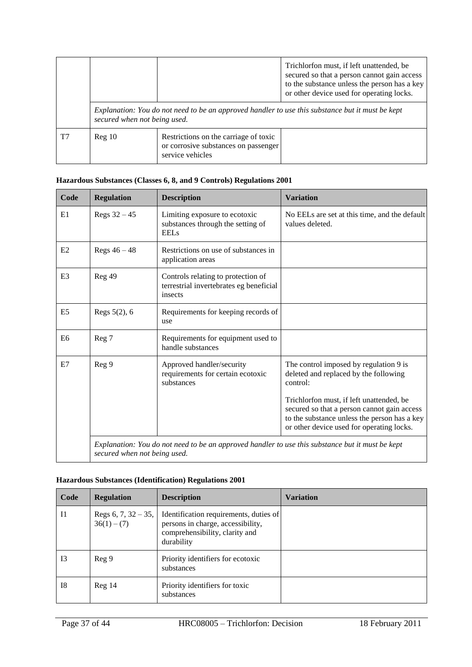|                              |        |                                                                                                   | Trichlorfon must, if left unattended, be<br>secured so that a person cannot gain access<br>to the substance unless the person has a key<br>or other device used for operating locks. |
|------------------------------|--------|---------------------------------------------------------------------------------------------------|--------------------------------------------------------------------------------------------------------------------------------------------------------------------------------------|
| secured when not being used. |        |                                                                                                   | Explanation: You do not need to be an approved handler to use this substance but it must be kept                                                                                     |
| T7                           | Reg 10 | Restrictions on the carriage of toxic<br>or corrosive substances on passenger<br>service vehicles |                                                                                                                                                                                      |

### **Hazardous Substances (Classes 6, 8, and 9 Controls) Regulations 2001**

| Code           | <b>Regulation</b>            | <b>Description</b>                                                                               | <b>Variation</b>                                                                                                                         |
|----------------|------------------------------|--------------------------------------------------------------------------------------------------|------------------------------------------------------------------------------------------------------------------------------------------|
| E1             | Regs $32 - 45$               | Limiting exposure to ecotoxic<br>substances through the setting of<br><b>EELs</b>                | No EELs are set at this time, and the default<br>values deleted.                                                                         |
| E2             | Regs $46 - 48$               | Restrictions on use of substances in<br>application areas                                        |                                                                                                                                          |
| E <sub>3</sub> | Reg 49                       | Controls relating to protection of<br>terrestrial invertebrates eg beneficial<br>insects         |                                                                                                                                          |
| E <sub>5</sub> | Regs $5(2)$ , 6              | Requirements for keeping records of<br>use                                                       |                                                                                                                                          |
| E <sub>6</sub> | Reg 7                        | Requirements for equipment used to<br>handle substances                                          |                                                                                                                                          |
| E7             | Reg 9                        | Approved handler/security<br>requirements for certain ecotoxic<br>substances                     | The control imposed by regulation 9 is<br>deleted and replaced by the following<br>control:<br>Trichlorfon must, if left unattended, be  |
|                |                              |                                                                                                  | secured so that a person cannot gain access<br>to the substance unless the person has a key<br>or other device used for operating locks. |
|                | secured when not being used. | Explanation: You do not need to be an approved handler to use this substance but it must be kept |                                                                                                                                          |

#### **Hazardous Substances (Identification) Regulations 2001**

| Code           | <b>Regulation</b>                       | <b>Description</b>                                                                                                          | <b>Variation</b> |
|----------------|-----------------------------------------|-----------------------------------------------------------------------------------------------------------------------------|------------------|
| I <sub>1</sub> | Regs 6, 7, $32 - 35$ ,<br>$36(1) - (7)$ | Identification requirements, duties of<br>persons in charge, accessibility,<br>comprehensibility, clarity and<br>durability |                  |
| <b>I3</b>      | Reg <sub>9</sub>                        | Priority identifiers for ecotoxic<br>substances                                                                             |                  |
| <b>I8</b>      | Reg <sub>14</sub>                       | Priority identifiers for toxic<br>substances                                                                                |                  |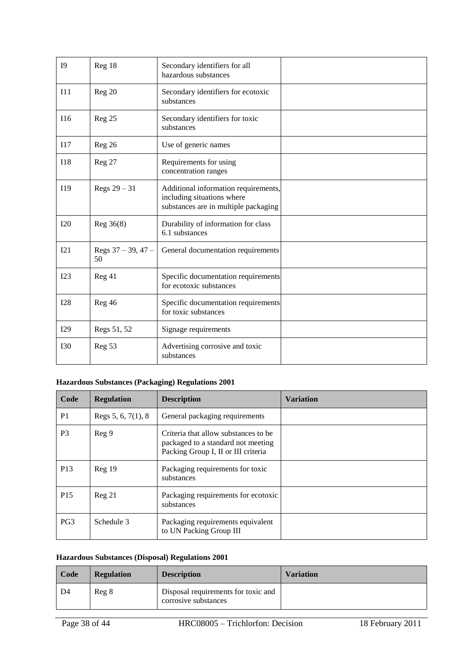| <b>I9</b>  | Reg 18                     | Secondary identifiers for all<br>hazardous substances                                                      |  |
|------------|----------------------------|------------------------------------------------------------------------------------------------------------|--|
| I11        | Reg 20                     | Secondary identifiers for ecotoxic<br>substances                                                           |  |
| I16        | Reg 25                     | Secondary identifiers for toxic<br>substances                                                              |  |
| I17        | Reg 26                     | Use of generic names                                                                                       |  |
| <b>I18</b> | Reg 27                     | Requirements for using<br>concentration ranges                                                             |  |
| I19        | Regs $29 - 31$             | Additional information requirements,<br>including situations where<br>substances are in multiple packaging |  |
| I20        | Reg 36(8)                  | Durability of information for class<br>6.1 substances                                                      |  |
| I21        | Regs $37 - 39, 47 -$<br>50 | General documentation requirements                                                                         |  |
| I23        | Reg 41                     | Specific documentation requirements<br>for ecotoxic substances                                             |  |
| I28        | Reg 46                     | Specific documentation requirements<br>for toxic substances                                                |  |
| I29        | Regs 51, 52                | Signage requirements                                                                                       |  |
| <b>I30</b> | Reg <sub>53</sub>          | Advertising corrosive and toxic<br>substances                                                              |  |

### **Hazardous Substances (Packaging) Regulations 2001**

| Code            | <b>Regulation</b>      | <b>Description</b>                                                                                                | <b>Variation</b> |
|-----------------|------------------------|-------------------------------------------------------------------------------------------------------------------|------------------|
| P <sub>1</sub>  | Regs $5, 6, 7(1), 8$   | General packaging requirements                                                                                    |                  |
| P <sub>3</sub>  | Reg 9                  | Criteria that allow substances to be<br>packaged to a standard not meeting<br>Packing Group I, II or III criteria |                  |
| P <sub>13</sub> | $\text{Re} \varrho$ 19 | Packaging requirements for toxic<br>substances                                                                    |                  |
| P <sub>15</sub> | Reg 21                 | Packaging requirements for ecotoxic<br>substances                                                                 |                  |
| PG <sub>3</sub> | Schedule 3             | Packaging requirements equivalent<br>to UN Packing Group III                                                      |                  |

### **Hazardous Substances (Disposal) Regulations 2001**

| Code | <b>Regulation</b> | <b>Description</b>                                          | <b>Variation</b> |
|------|-------------------|-------------------------------------------------------------|------------------|
| D4   | Reg 8             | Disposal requirements for toxic and<br>corrosive substances |                  |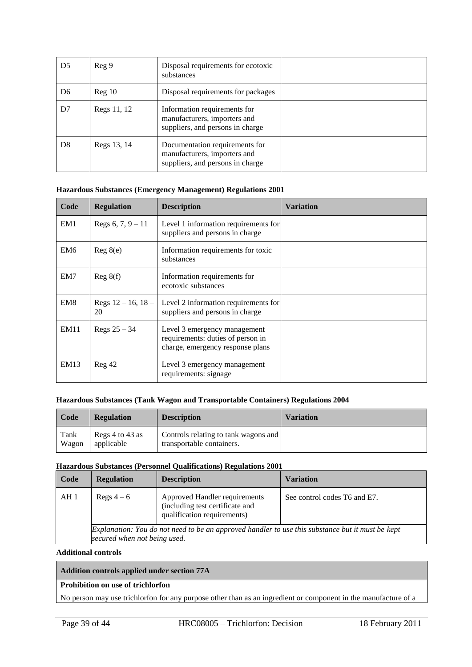| D <sub>5</sub> | Reg <sub>9</sub>       | Disposal requirements for ecotoxic<br>substances                                                   |  |
|----------------|------------------------|----------------------------------------------------------------------------------------------------|--|
| D <sub>6</sub> | $\text{Re} \varrho 10$ | Disposal requirements for packages                                                                 |  |
| D7             | Regs 11, 12            | Information requirements for<br>manufacturers, importers and<br>suppliers, and persons in charge   |  |
| D <sub>8</sub> | Regs 13, 14            | Documentation requirements for<br>manufacturers, importers and<br>suppliers, and persons in charge |  |

#### **Hazardous Substances (Emergency Management) Regulations 2001**

| Code            | <b>Regulation</b>             | <b>Description</b>                                                                                    | Variation |
|-----------------|-------------------------------|-------------------------------------------------------------------------------------------------------|-----------|
| EM <sub>1</sub> | Regs 6, $7, 9 - 11$           | Level 1 information requirements for<br>suppliers and persons in charge                               |           |
| EM <sub>6</sub> | Reg 8(e)                      | Information requirements for toxic<br>substances                                                      |           |
| EM7             | Reg 8(f)                      | Information requirements for<br>ecotoxic substances                                                   |           |
| EM <sub>8</sub> | Regs $12 - 16$ , $18 -$<br>20 | Level 2 information requirements for<br>suppliers and persons in charge                               |           |
| EM11            | Regs $25 - 34$                | Level 3 emergency management<br>requirements: duties of person in<br>charge, emergency response plans |           |
| EM13            | Reg 42                        | Level 3 emergency management<br>requirements: signage                                                 |           |

#### **Hazardous Substances (Tank Wagon and Transportable Containers) Regulations 2004**

| Code  | <b>Regulation</b> | <b>Description</b>                   | <b>Variation</b> |
|-------|-------------------|--------------------------------------|------------------|
| Tank  | Regs 4 to 43 as   | Controls relating to tank wagons and |                  |
| Wagon | applicable        | transportable containers.            |                  |

#### **Hazardous Substances (Personnel Qualifications) Regulations 2001**

| Code | <b>Regulation</b>                                                                                                                | <b>Description</b>                                                                              | <b>Variation</b>             |  |
|------|----------------------------------------------------------------------------------------------------------------------------------|-------------------------------------------------------------------------------------------------|------------------------------|--|
| AH 1 | Regs $4-6$                                                                                                                       | Approved Handler requirements<br>(including test certificate and<br>qualification requirements) | See control codes T6 and E7. |  |
|      | Explanation: You do not need to be an approved handler to use this substance but it must be kept<br>secured when not being used. |                                                                                                 |                              |  |

#### **Additional controls**

#### **Addition controls applied under section 77A**

#### **Prohibition on use of trichlorfon**

No person may use trichlorfon for any purpose other than as an ingredient or component in the manufacture of a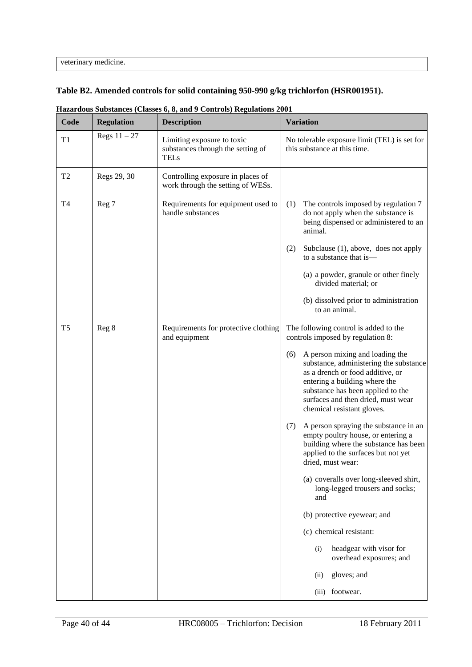veterinary medicine.

#### **Table B2. Amended controls for solid containing 950-990 g/kg trichlorfon (HSR001951).**

| Code           | <b>Regulation</b> | <b>Description</b>                                                             | <b>Variation</b>                                                                                                                                                                                                                                                                                                                                                                                                                                                                                                                                                                                                                                                                                                                                                          |
|----------------|-------------------|--------------------------------------------------------------------------------|---------------------------------------------------------------------------------------------------------------------------------------------------------------------------------------------------------------------------------------------------------------------------------------------------------------------------------------------------------------------------------------------------------------------------------------------------------------------------------------------------------------------------------------------------------------------------------------------------------------------------------------------------------------------------------------------------------------------------------------------------------------------------|
| T1             | Regs $11 - 27$    | Limiting exposure to toxic<br>substances through the setting of<br><b>TELs</b> | No tolerable exposure limit (TEL) is set for<br>this substance at this time.                                                                                                                                                                                                                                                                                                                                                                                                                                                                                                                                                                                                                                                                                              |
| T <sub>2</sub> | Regs 29, 30       | Controlling exposure in places of<br>work through the setting of WESs.         |                                                                                                                                                                                                                                                                                                                                                                                                                                                                                                                                                                                                                                                                                                                                                                           |
| T <sub>4</sub> | Reg 7             | Requirements for equipment used to<br>handle substances                        | (1)<br>The controls imposed by regulation 7<br>do not apply when the substance is<br>being dispensed or administered to an<br>animal.<br>Subclause (1), above, does not apply<br>(2)<br>to a substance that is-                                                                                                                                                                                                                                                                                                                                                                                                                                                                                                                                                           |
|                |                   |                                                                                | (a) a powder, granule or other finely<br>divided material; or<br>(b) dissolved prior to administration<br>to an animal.                                                                                                                                                                                                                                                                                                                                                                                                                                                                                                                                                                                                                                                   |
| T <sub>5</sub> | Reg 8             | Requirements for protective clothing<br>and equipment                          | The following control is added to the<br>controls imposed by regulation 8:<br>A person mixing and loading the<br>(6)<br>substance, administering the substance<br>as a drench or food additive, or<br>entering a building where the<br>substance has been applied to the<br>surfaces and then dried, must wear<br>chemical resistant gloves.<br>A person spraying the substance in an<br>(7)<br>empty poultry house, or entering a<br>building where the substance has been<br>applied to the surfaces but not yet<br>dried, must wear:<br>(a) coveralls over long-sleeved shirt,<br>long-legged trousers and socks;<br>and<br>(b) protective eyewear; and<br>(c) chemical resistant:<br>headgear with visor for<br>(i)<br>overhead exposures; and<br>gloves; and<br>(ii) |
|                |                   |                                                                                | footwear.<br>(iii)                                                                                                                                                                                                                                                                                                                                                                                                                                                                                                                                                                                                                                                                                                                                                        |

**Hazardous Substances (Classes 6, 8, and 9 Controls) Regulations 2001**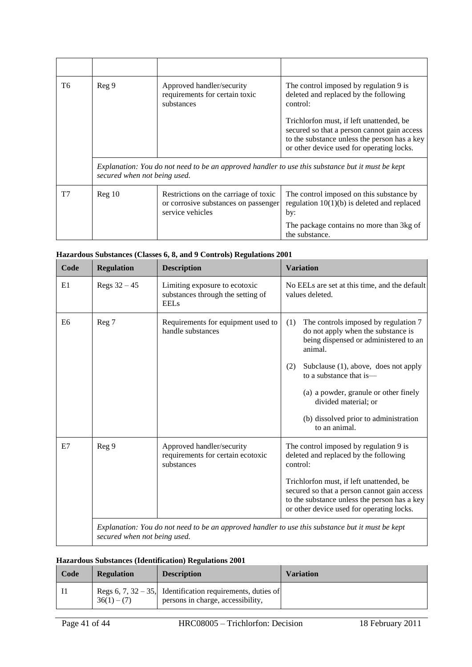| T6             | Reg 9                        | Approved handler/security<br>requirements for certain toxic<br>substances                         | The control imposed by regulation 9 is<br>deleted and replaced by the following<br>control:                                                                                          |
|----------------|------------------------------|---------------------------------------------------------------------------------------------------|--------------------------------------------------------------------------------------------------------------------------------------------------------------------------------------|
|                |                              |                                                                                                   | Trichlorfon must, if left unattended, be<br>secured so that a person cannot gain access<br>to the substance unless the person has a key<br>or other device used for operating locks. |
|                | secured when not being used. |                                                                                                   | Explanation: You do not need to be an approved handler to use this substance but it must be kept                                                                                     |
| T <sub>7</sub> | Reg <sub>10</sub>            | Restrictions on the carriage of toxic<br>or corrosive substances on passenger<br>service vehicles | The control imposed on this substance by<br>regulation $10(1)(b)$ is deleted and replaced<br>by:                                                                                     |
|                |                              |                                                                                                   | The package contains no more than 3kg of<br>the substance.                                                                                                                           |

#### **Hazardous Substances (Classes 6, 8, and 9 Controls) Regulations 2001**

| Code           | <b>Regulation</b>            | <b>Description</b>                                                                | <b>Variation</b>                                                                                                                                                                                                                                                                                                                           |
|----------------|------------------------------|-----------------------------------------------------------------------------------|--------------------------------------------------------------------------------------------------------------------------------------------------------------------------------------------------------------------------------------------------------------------------------------------------------------------------------------------|
| E1             | Regs $32 - 45$               | Limiting exposure to ecotoxic<br>substances through the setting of<br><b>EELs</b> | No EELs are set at this time, and the default<br>values deleted.                                                                                                                                                                                                                                                                           |
| E <sub>6</sub> | Reg 7                        | Requirements for equipment used to<br>handle substances                           | The controls imposed by regulation 7<br>(1)<br>do not apply when the substance is<br>being dispensed or administered to an<br>animal.<br>Subclause (1), above, does not apply<br>(2)<br>to a substance that is—<br>(a) a powder, granule or other finely<br>divided material; or<br>(b) dissolved prior to administration<br>to an animal. |
| E7             | Reg 9                        | Approved handler/security<br>requirements for certain ecotoxic<br>substances      | The control imposed by regulation 9 is<br>deleted and replaced by the following<br>control:<br>Trichlorfon must, if left unattended, be<br>secured so that a person cannot gain access<br>to the substance unless the person has a key<br>or other device used for operating locks.                                                        |
|                | secured when not being used. |                                                                                   | Explanation: You do not need to be an approved handler to use this substance but it must be kept                                                                                                                                                                                                                                           |

#### **Hazardous Substances (Identification) Regulations 2001**

| Code | <b>Regulation</b> | <b>Description</b>                                                                              | <b>Variation</b> |
|------|-------------------|-------------------------------------------------------------------------------------------------|------------------|
|      | $36(1) - (7)$     | Regs 6, 7, 32 – 35, Identification requirements, duties of<br>persons in charge, accessibility, |                  |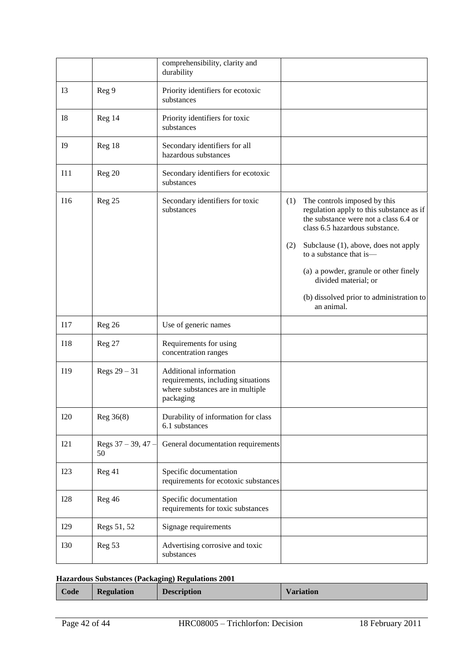|                |                            | comprehensibility, clarity and<br>durability                                                                  |            |                                                                                                                                                                                                                                                                                                                                                   |
|----------------|----------------------------|---------------------------------------------------------------------------------------------------------------|------------|---------------------------------------------------------------------------------------------------------------------------------------------------------------------------------------------------------------------------------------------------------------------------------------------------------------------------------------------------|
| I <sub>3</sub> | Reg 9                      | Priority identifiers for ecotoxic<br>substances                                                               |            |                                                                                                                                                                                                                                                                                                                                                   |
| I8             | Reg 14                     | Priority identifiers for toxic<br>substances                                                                  |            |                                                                                                                                                                                                                                                                                                                                                   |
| <b>I9</b>      | Reg 18                     | Secondary identifiers for all<br>hazardous substances                                                         |            |                                                                                                                                                                                                                                                                                                                                                   |
| I11            | Reg 20                     | Secondary identifiers for ecotoxic<br>substances                                                              |            |                                                                                                                                                                                                                                                                                                                                                   |
| I16            | Reg 25                     | Secondary identifiers for toxic<br>substances                                                                 | (1)<br>(2) | The controls imposed by this<br>regulation apply to this substance as if<br>the substance were not a class 6.4 or<br>class 6.5 hazardous substance.<br>Subclause (1), above, does not apply<br>to a substance that is-<br>(a) a powder, granule or other finely<br>divided material; or<br>(b) dissolved prior to administration to<br>an animal. |
| I17            | Reg 26                     | Use of generic names                                                                                          |            |                                                                                                                                                                                                                                                                                                                                                   |
| <b>I18</b>     | Reg 27                     | Requirements for using<br>concentration ranges                                                                |            |                                                                                                                                                                                                                                                                                                                                                   |
| I19            | Regs $29 - 31$             | Additional information<br>requirements, including situations<br>where substances are in multiple<br>packaging |            |                                                                                                                                                                                                                                                                                                                                                   |
| <b>I20</b>     | Reg 36(8)                  | Durability of information for class<br>6.1 substances                                                         |            |                                                                                                                                                                                                                                                                                                                                                   |
| I21            | Regs $37 - 39, 47 -$<br>50 | General documentation requirements                                                                            |            |                                                                                                                                                                                                                                                                                                                                                   |
| I23            | Reg 41                     | Specific documentation<br>requirements for ecotoxic substances                                                |            |                                                                                                                                                                                                                                                                                                                                                   |
| <b>I28</b>     | Reg 46                     | Specific documentation<br>requirements for toxic substances                                                   |            |                                                                                                                                                                                                                                                                                                                                                   |
| <b>I29</b>     | Regs 51, 52                | Signage requirements                                                                                          |            |                                                                                                                                                                                                                                                                                                                                                   |
| <b>I30</b>     | Reg 53                     | Advertising corrosive and toxic<br>substances                                                                 |            |                                                                                                                                                                                                                                                                                                                                                   |

## **Hazardous Substances (Packaging) Regulations 2001**

|  | <b>Regulation</b><br>Code |  | <b>Description</b> | <b>Variation</b> |
|--|---------------------------|--|--------------------|------------------|
|--|---------------------------|--|--------------------|------------------|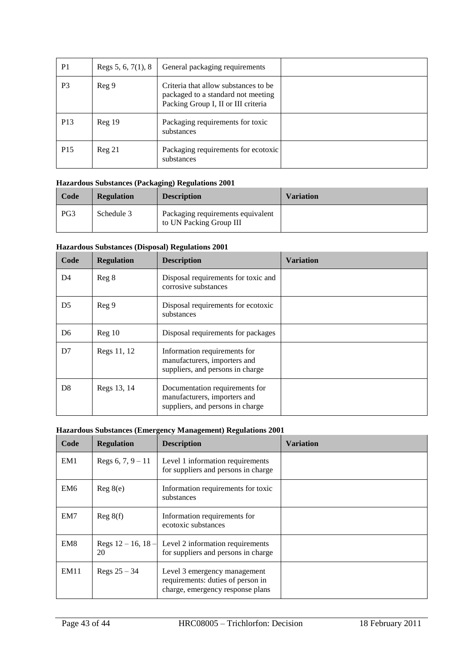| P <sub>1</sub>  | Regs 5, 6, 7(1), 8 | General packaging requirements                                                                                     |  |
|-----------------|--------------------|--------------------------------------------------------------------------------------------------------------------|--|
| P <sub>3</sub>  | Reg 9              | Criteria that allow substances to be.<br>packaged to a standard not meeting<br>Packing Group I, II or III criteria |  |
| P <sub>13</sub> | Reg 19             | Packaging requirements for toxic<br>substances                                                                     |  |
| P <sub>15</sub> | Reg 21             | Packaging requirements for ecotoxic<br>substances                                                                  |  |

#### **Hazardous Substances (Packaging) Regulations 2001**

| Code            | <b>Regulation</b> | <b>Description</b>                                           | <b>Variation</b> |
|-----------------|-------------------|--------------------------------------------------------------|------------------|
| PG <sub>3</sub> | Schedule 3        | Packaging requirements equivalent<br>to UN Packing Group III |                  |

#### **Hazardous Substances (Disposal) Regulations 2001**

| Code           | <b>Regulation</b> | <b>Description</b>                                                                                 | Variation |
|----------------|-------------------|----------------------------------------------------------------------------------------------------|-----------|
| D <sub>4</sub> | Reg 8             | Disposal requirements for toxic and<br>corrosive substances                                        |           |
| D <sub>5</sub> | Reg 9             | Disposal requirements for ecotoxic<br>substances                                                   |           |
| D <sub>6</sub> | Reg 10            | Disposal requirements for packages                                                                 |           |
| D7             | Regs 11, 12       | Information requirements for<br>manufacturers, importers and<br>suppliers, and persons in charge   |           |
| D <sub>8</sub> | Regs 13, 14       | Documentation requirements for<br>manufacturers, importers and<br>suppliers, and persons in charge |           |

#### **Hazardous Substances (Emergency Management) Regulations 2001**

| Code            | <b>Regulation</b>             | <b>Description</b>                                                                                    | <b>Variation</b> |
|-----------------|-------------------------------|-------------------------------------------------------------------------------------------------------|------------------|
| EM <sub>1</sub> | Regs 6, $7, 9 - 11$           | Level 1 information requirements<br>for suppliers and persons in charge                               |                  |
| EM <sub>6</sub> | Reg 8(e)                      | Information requirements for toxic<br>substances                                                      |                  |
| EM7             | Reg 8(f)                      | Information requirements for<br>ecotoxic substances                                                   |                  |
| EM8             | Regs $12 - 16$ , $18 -$<br>20 | Level 2 information requirements<br>for suppliers and persons in charge                               |                  |
| EM11            | Regs $25 - 34$                | Level 3 emergency management<br>requirements: duties of person in<br>charge, emergency response plans |                  |